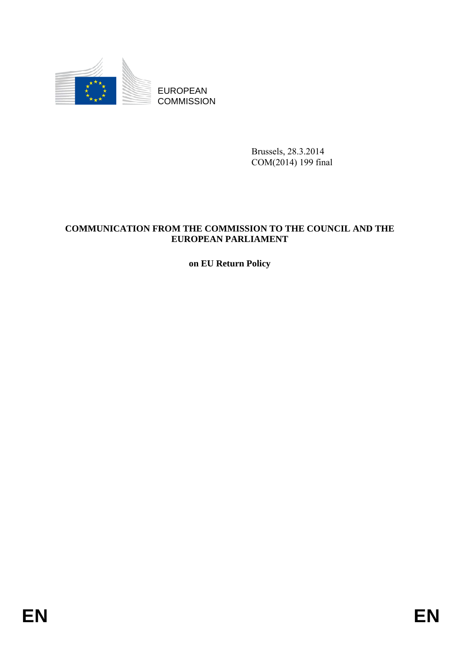

EUROPEAN **COMMISSION** 

> Brussels, 28.3.2014 COM(2014) 199 final

# **COMMUNICATION FROM THE COMMISSION TO THE COUNCIL AND THE EUROPEAN PARLIAMENT**

**on EU Return Policy**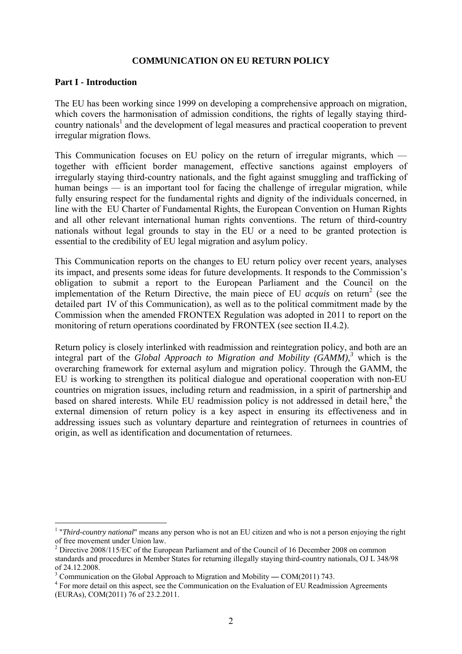#### **COMMUNICATION ON EU RETURN POLICY**

#### **Part I - Introduction**

1

The EU has been working since 1999 on developing a comprehensive approach on migration, which covers the harmonisation of admission conditions, the rights of legally staying thirdcountry nationals<sup>1</sup> and the development of legal measures and practical cooperation to prevent irregular migration flows.

This Communication focuses on EU policy on the return of irregular migrants, which together with efficient border management, effective sanctions against employers of irregularly staying third-country nationals, and the fight against smuggling and trafficking of human beings — is an important tool for facing the challenge of irregular migration, while fully ensuring respect for the fundamental rights and dignity of the individuals concerned, in line with the EU Charter of Fundamental Rights, the European Convention on Human Rights and all other relevant international human rights conventions. The return of third-country nationals without legal grounds to stay in the EU or a need to be granted protection is essential to the credibility of EU legal migration and asylum policy.

This Communication reports on the changes to EU return policy over recent years, analyses its impact, and presents some ideas for future developments. It responds to the Commission's obligation to submit a report to the European Parliament and the Council on the implementation of the Return Directive, the main piece of EU *acquis* on return<sup>2</sup> (see the detailed part IV of this Communication), as well as to the political commitment made by the Commission when the amended FRONTEX Regulation was adopted in 2011 to report on the monitoring of return operations coordinated by FRONTEX (see section II.4.2).

Return policy is closely interlinked with readmission and reintegration policy, and both are an integral part of the *Global Approach to Migration and Mobility (GAMM),<sup>3</sup>* which is the overarching framework for external asylum and migration policy. Through the GAMM, the EU is working to strengthen its political dialogue and operational cooperation with non-EU countries on migration issues, including return and readmission, in a spirit of partnership and based on shared interests. While EU readmission policy is not addressed in detail here, $4$  the external dimension of return policy is a key aspect in ensuring its effectiveness and in addressing issues such as voluntary departure and reintegration of returnees in countries of origin, as well as identification and documentation of returnees.

<sup>&</sup>lt;sup>1</sup> "*Third-country national*" means any person who is not an EU citizen and who is not a person enjoying the right of free movement under Union law.

<sup>&</sup>lt;sup>2</sup> Directive 2008/115/EC of the European Parliament and of the Council of 16 December 2008 on common standards and procedures in Member States for returning illegally staying third-country nationals, OJ L 348/98 of 24.12.2008.

<sup>&</sup>lt;sup>3</sup> Communication on the Global Approach to Migration and Mobility — COM(2011) 743.

<sup>&</sup>lt;sup>4</sup> For more detail on this aspect, see the Communication on the Evaluation of EU Readmission Agreements (EURAs), COM(2011) 76 of 23.2.2011.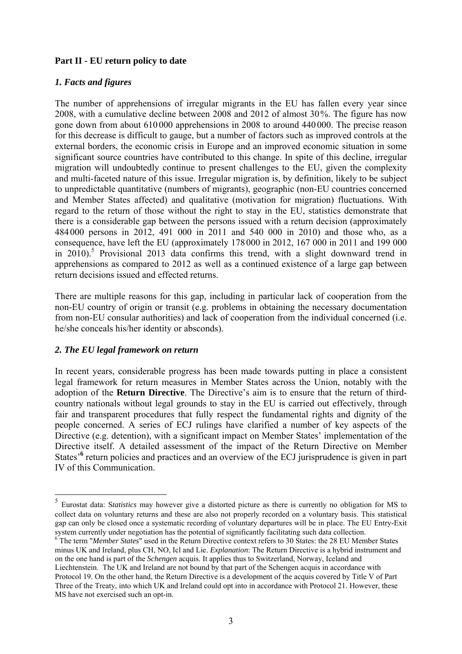### **Part II - EU return policy to date**

### *1. Facts and figures*

The number of apprehensions of irregular migrants in the EU has fallen every year since 2008, with a cumulative decline between 2008 and 2012 of almost 30%. The figure has now gone down from about 610 000 apprehensions in 2008 to around 440 000. The precise reason for this decrease is difficult to gauge, but a number of factors such as improved controls at the external borders, the economic crisis in Europe and an improved economic situation in some significant source countries have contributed to this change. In spite of this decline, irregular migration will undoubtedly continue to present challenges to the EU, given the complexity and multi-faceted nature of this issue. Irregular migration is, by definition, likely to be subject to unpredictable quantitative (numbers of migrants), geographic (non-EU countries concerned and Member States affected) and qualitative (motivation for migration) fluctuations. With regard to the return of those without the right to stay in the EU, statistics demonstrate that there is a considerable gap between the persons issued with a return decision (approximately 484 000 persons in 2012, 491 000 in 2011 and 540 000 in 2010) and those who, as a consequence, have left the EU (approximately 178000 in 2012, 167 000 in 2011 and 199 000 in 2010).<sup>5</sup> Provisional 2013 data confirms this trend, with a slight downward trend in apprehensions as compared to 2012 as well as a continued existence of a large gap between return decisions issued and effected returns.

There are multiple reasons for this gap, including in particular lack of cooperation from the non-EU country of origin or transit (e.g. problems in obtaining the necessary documentation from non-EU consular authorities) and lack of cooperation from the individual concerned (i.e. he/she conceals his/her identity or absconds).

### *2. The EU legal framework on return*

<u>.</u>

In recent years, considerable progress has been made towards putting in place a consistent legal framework for return measures in Member States across the Union, notably with the adoption of the **Return Directive**. The Directive's aim is to ensure that the return of thirdcountry nationals without legal grounds to stay in the EU is carried out effectively, through fair and transparent procedures that fully respect the fundamental rights and dignity of the people concerned. A series of ECJ rulings have clarified a number of key aspects of the Directive (e.g. detention), with a significant impact on Member States' implementation of the Directive itself. A detailed assessment of the impact of the Return Directive on Member States<sup>'6</sup> return policies and practices and an overview of the ECJ jurisprudence is given in part IV of this Communication.

<sup>5</sup> Eurostat data: S*tatistics* may however give a distorted picture as there is currently no obligation for MS to collect data on voluntary returns and these are also not properly recorded on a voluntary basis. This statistical gap can only be closed once a systematic recording of voluntary departures will be in place. The EU Entry-Exit system currently under negotiation has the potential of significantly facilitating such data collection.

<sup>&</sup>lt;sup>6</sup> The term "*Member States*" used in the Return Directive context refers to 30 States: the 28 EU Member States minus UK and Ireland, plus CH, NO, Icl and Lie. *Explanation*: The Return Directive is a hybrid instrument and on the one hand is part of the *Schengen* acquis. It applies thus to Switzerland, Norway, Iceland and Liechtenstein. The UK and Ireland are not bound by that part of the Schengen acquis in accordance with Protocol 19. On the other hand, the Return Directive is a development of the acquis covered by Title V of Part Three of the Treaty, into which UK and Ireland could opt into in accordance with Protocol 21. However, these MS have not exercised such an opt-in.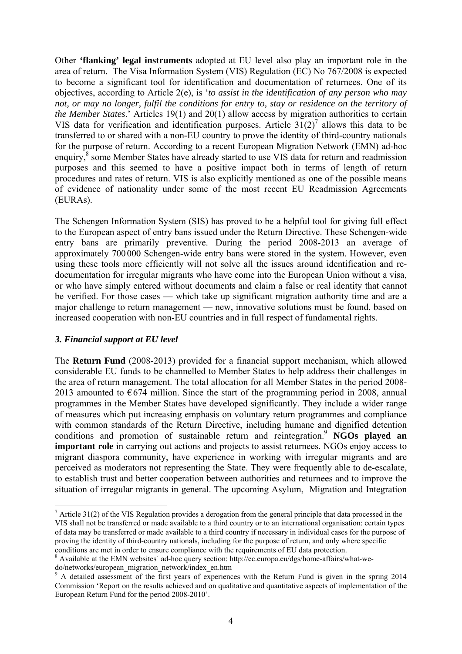Other **'flanking' legal instruments** adopted at EU level also play an important role in the area of return. The Visa Information System (VIS) Regulation (EC) No 767/2008 is expected to become a significant tool for identification and documentation of returnees. One of its objectives, according to Article 2(e), is '*to assist in the identification of any person who may not, or may no longer, fulfil the conditions for entry to, stay or residence on the territory of the Member States*.' Articles 19(1) and 20(1) allow access by migration authorities to certain VIS data for verification and identification purposes. Article  $31(2)^7$  allows this data to be transferred to or shared with a non-EU country to prove the identity of third-country nationals for the purpose of return. According to a recent European Migration Network (EMN) ad-hoc enquiry,<sup>8</sup> some Member States have already s[tarted to use VIS data for return and read](http://ec.europa.eu/dgs/home-affairs/what-we-do/networks/european_migration_network/index_en.htm)mission purposes and this seemed to have a positive impact both in terms of length of return procedures and rates of return. VIS is also explicitly mentioned as one of the possible means of evidence of nationality under some of the most recent EU Readmission Agreements (EURAs).

The Schengen Information System (SIS) has proved to be a helpful tool for giving full effect to the European aspect of entry bans issued under the Return Directive. These Schengen-wide entry bans are primarily preventive. During the period 2008-2013 an average of approximately 700000 Schengen-wide entry bans were stored in the system. However, even using these tools more efficiently will not solve all the issues around identification and redocumentation for irregular migrants who have come into the European Union without a visa, or who have simply entered without documents and claim a false or real identity that cannot be verified. For those cases — which take up significant migration authority time and are a major challenge to return management — new, innovative solutions must be found, based on increased cooperation with non-EU countries and in full respect of fundamental rights.

### *3. Financial support at EU level*

The **Return Fund** (2008-2013) provided for a financial support mechanism, which allowed considerable EU funds to be channelled to Member States to help address their challenges in the area of return management. The total allocation for all Member States in the period 2008- 2013 amounted to  $\epsilon$ 674 million. Since the start of the programming period in 2008, annual programmes in the Member States have developed significantly. They include a wider range of measures which put increasing emphasis on voluntary return programmes and compliance with common standards of the Return Directive, including humane and dignified detention conditions and promotion of sustainable return and reintegration.<sup>9</sup> **NGOs played an important role** in carrying out actions and projects to assist returnees. NGOs enjoy access to migrant diaspora community, have experience in working with irregular migrants and are perceived as moderators not representing the State. They were frequently able to de-escalate, to establish trust and better cooperation between authorities and returnees and to improve the situation of irregular migrants in general. The upcoming Asylum, Migration and Integration

<sup>1</sup>  $<sup>7</sup>$  Article 31(2) of the VIS Regulation provides a derogation from the general principle that data processed in the</sup> VIS shall not be transferred or made available to a third country or to an international organisation: certain types of data may be transferred or made available to a third country if necessary in individual cases for the purpose of proving the identity of third-country nationals, including for the purpose of return, and only where specific conditions are met in order to ensure compliance with the requirements of EU data protection.

<sup>&</sup>lt;sup>8</sup> Available at the EMN websites' ad-hoc query section: http://ec.europa.eu/dgs/home-affairs/what-we[do/networks/european\\_migration\\_network/index\\_en.htm](http://ec.europa.eu/dgs/home-affairs/what-we-do/networks/european_migration_network/index_en.htm) 

<sup>&</sup>lt;sup>9</sup> A detailed assessment of the first years of experiences with the Return Fund is given in the spring 2014 Commission 'Report on the results achieved and on qualitative and quantitative aspects of implementation of the European Return Fund for the period 2008-2010'.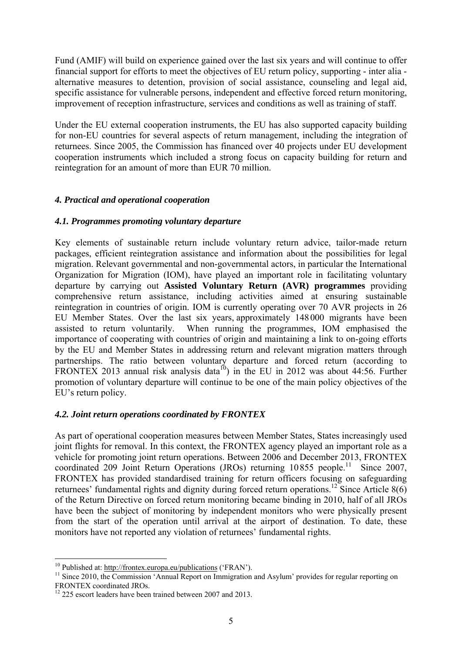Fund (AMIF) will build on experience gained over the last six years and will continue to offer financial support for efforts to meet the objectives of EU return policy, supporting - inter alia alternative measures to detention, provision of social assistance, counseling and legal aid, specific assistance for vulnerable persons, independent and effective forced return monitoring, improvement of reception infrastructure, services and conditions as well as training of staff.

Under the EU external cooperation instruments, the EU has also supported capacity building for non-EU countries for several aspects of return management, including the integration of returnees. Since 2005, the Commission has financed over 40 projects under EU development cooperation instruments which included a strong focus on capacity building for return and reintegration for an amount of more than EUR 70 million.

### *4. Practical and operational cooperation*

### *4.1. Programmes promoting voluntary departure*

Key elements of sustainable return include voluntary return advice, tailor-made return packages, efficient reintegration assistance and information about the possibilities for legal migration. Relevant governmental and non-governmental actors, in particular the International Organization for Migration (IOM), have played an important role in facilitating voluntary departure by carrying out **Assisted Voluntary Return (AVR) programmes** providing comprehensive return assistance, including activities aimed at ensuring sustainable reintegration in countries of origin. IOM is currently operating over 70 AVR projects in 26 EU Member States. Over the last six years, approximately 148 000 migrants have been assisted to return voluntarily. When running the programmes, IOM emphasised the importance of cooperating with countries of origin and maintaining a link to on-going efforts by the EU and Member States in addressing return and relevant migration matters through partnerships. The ratio between voluntary departure and forced return (according to FRONTEX 2013 annual risk analysis data<sup>10</sup>) in the EU in 2012 was about  $44:56$ . Further promotion of voluntary departure will continue to be one of the main policy objectives of the EU's return policy.

### *4.2. Joint return operations coordinated by FRONTEX*

As part of operational cooperation measures between Member States, States increasingly used joint flights for removal. In this context, the FRONTEX agency played an important role as a vehicle for promoting joint return operations. Between 2006 and December 2013, FRONTEX coordinated 209 Joint Return Operations (JROs) returning  $10\,855$  people.<sup>11</sup> Since 2007, FRONTEX has provided standardised training for return officers focusing on safeguarding returnees' fundamental rights and dignity during forced return operations.<sup>12</sup> Since Article  $8(6)$ of the Return Directive on forced return monitoring became binding in 2010, half of all JROs have been the subject of monitoring by independent monitors who were physically present from the start of the operation until arrival at the airport of destination. To date, these monitors have not reported any violation of returnees' fundamental rights.

 $10$  Published at: http://frontex.europa.eu/publications ('FRAN').

 $11$  Since 2010, [the Commission 'Annual Report on Imm](http://frontex.europa.eu/publications)igration and Asylum' provides for regular reporting on FRONTEX coordinated JROs.

 $12$  225 escort leaders have been trained between 2007 and 2013.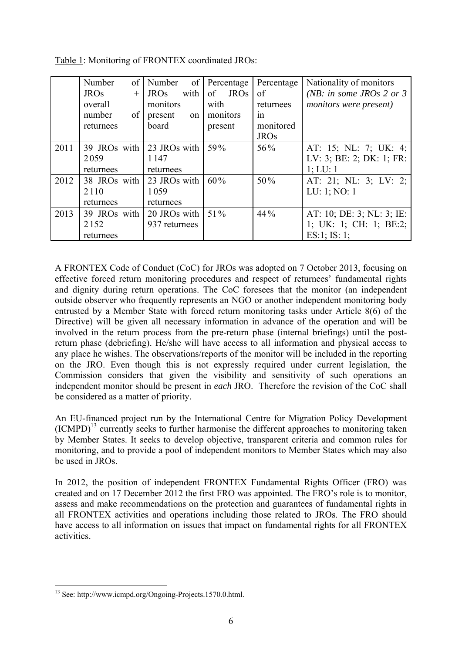|      | Number       | $\sigma$ f | Number        | of   |         | Percentage  | Percentage  | Nationality of monitors   |
|------|--------------|------------|---------------|------|---------|-------------|-------------|---------------------------|
|      | <b>JROs</b>  | $+$        | <b>JROs</b>   | with | of      | <b>JROs</b> | of          | (NB: in some JROs 2 or 3  |
|      | overall      |            | monitors      |      | with    |             | returnees   | monitors were present)    |
|      | number       | of         | present       | on   |         | monitors    | 1n          |                           |
|      | returnees    |            | board         |      | present |             | monitored   |                           |
|      |              |            |               |      |         |             | <b>JROs</b> |                           |
| 2011 | 39 JROs with |            | 23 JROs with  |      | 59%     |             | 56%         | AT: 15; NL: 7; UK: 4;     |
|      | 2059         |            | 1147          |      |         |             |             | LV: 3; BE: 2; DK: 1; FR:  |
|      | returnees    |            | returnees     |      |         |             |             | 1; LU: 1                  |
| 2012 | 38 JROs with |            | 23 JROs with  |      | 60%     |             | $50\%$      | AT: 21; NL: 3; LV: 2;     |
|      | 2110         |            | 1059          |      |         |             |             | LU: 1; NO: 1              |
|      | returnees    |            | returnees     |      |         |             |             |                           |
| 2013 | 39 JROs with |            | 20 JROs with  |      | $51\%$  |             | 44%         | AT: 10; DE: 3; NL: 3; IE: |
|      | 2152         |            | 937 returnees |      |         |             |             | 1; UK: 1; CH: 1; BE:2;    |
|      | returnees    |            |               |      |         |             |             | $ES:1$ ; IS: 1;           |

Table 1: Monitoring of FRONTEX coordinated JROs:

A FRONTEX Code of Conduct (CoC) for JROs was adopted on 7 October 2013, focusing on effective forced return monitoring procedures and respect of returnees' fundamental rights and dignity during return operations. The CoC foresees that the monitor (an independent outside observer who frequently represents an NGO or another independent monitoring body entrusted by a Member State with forced return monitoring tasks under Article 8(6) of the Directive) will be given all necessary information in advance of the operation and will be involved in the return process from the pre-return phase (internal briefings) until the postreturn phase (debriefing). He/she will have access to all information and physical access to any place he wishes. The observations/reports of the monitor will be included in the reporting on the JRO. Even though this is not expressly required under current legislation, the Commission considers that given the visibility and sensitivity of such operations an independent monitor should be present in *each* JRO. Therefore the revision of the CoC shall be considered as a matter of priority.

An EU-financed project run by the International Centre for Migration Policy Development  $(ICMPD)^{13}$  currently seeks to further harmonise the different approaches to monitoring taken by Member States. It seeks to develop objective, transparent criteria and common rules for monitoring, and to provide a pool of independent monitors to Member States which may also be used in JROs.

In 2012, the position of independent FRONTEX Fundamental Rights Officer (FRO) was created and on 17 December 2012 the first FRO was appointed. The FRO's role is to monitor, assess and make recommendations on the protection and guarantees of fundamental rights in all FRONTEX activities and operations including those related to JROs. The FRO should have access to all information on issues that impact on fundamental rights for all FRONTEX activities.

<sup>1</sup> <sup>13</sup> See[: http:/](http://www.icmpd.org/Ongoing-Projects.1570.0.html)/www.icmpd.org/Ongoing-Projects.1570.0.html.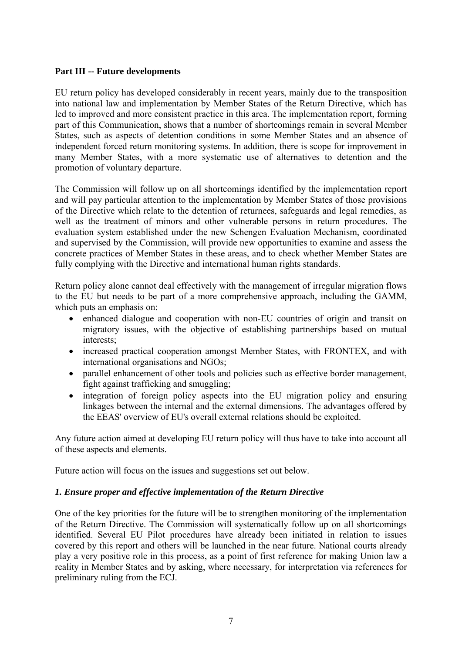### **Part III -- Future developments**

EU return policy has developed considerably in recent years, mainly due to the transposition into national law and implementation by Member States of the Return Directive, which has led to improved and more consistent practice in this area. The implementation report, forming part of this Communication, shows that a number of shortcomings remain in several Member States, such as aspects of detention conditions in some Member States and an absence of independent forced return monitoring systems. In addition, there is scope for improvement in many Member States, with a more systematic use of alternatives to detention and the promotion of voluntary departure.

The Commission will follow up on all shortcomings identified by the implementation report and will pay particular attention to the implementation by Member States of those provisions of the Directive which relate to the detention of returnees, safeguards and legal remedies, as well as the treatment of minors and other vulnerable persons in return procedures. The evaluation system established under the new Schengen Evaluation Mechanism, coordinated and supervised by the Commission, will provide new opportunities to examine and assess the concrete practices of Member States in these areas, and to check whether Member States are fully complying with the Directive and international human rights standards.

Return policy alone cannot deal effectively with the management of irregular migration flows to the EU but needs to be part of a more comprehensive approach, including the GAMM, which puts an emphasis on:

- enhanced dialogue and cooperation with non-EU countries of origin and transit on migratory issues, with the objective of establishing partnerships based on mutual interests;
- increased practical cooperation amongst Member States, with FRONTEX, and with international organisations and NGOs;
- parallel enhancement of other tools and policies such as effective border management, fight against trafficking and smuggling;
- integration of foreign policy aspects into the EU migration policy and ensuring linkages between the internal and the external dimensions. The advantages offered by the EEAS' overview of EU's overall external relations should be exploited.

Any future action aimed at developing EU return policy will thus have to take into account all of these aspects and elements.

Future action will focus on the issues and suggestions set out below.

### *1. Ensure proper and effective implementation of the Return Directive*

One of the key priorities for the future will be to strengthen monitoring of the implementation of the Return Directive. The Commission will systematically follow up on all shortcomings identified. Several EU Pilot procedures have already been initiated in relation to issues covered by this report and others will be launched in the near future. National courts already play a very positive role in this process, as a point of first reference for making Union law a reality in Member States and by asking, where necessary, for interpretation via references for preliminary ruling from the ECJ.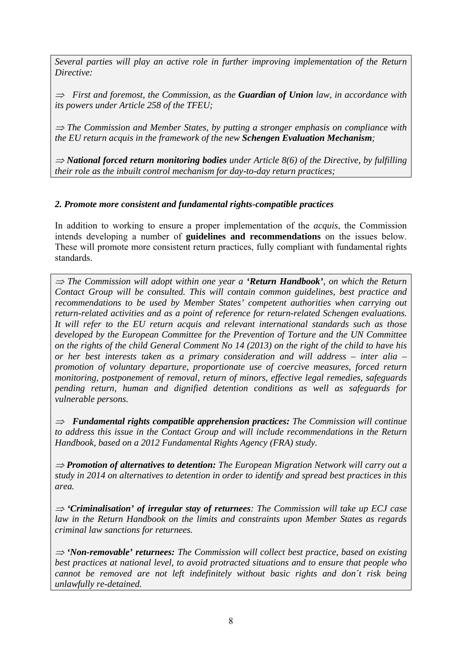*Several parties will play an active role in further improving implementation of the Return Directive:* 

<sup>⇒</sup> *First and foremost, the Commission, as the Guardian of Union law, in accordance with its powers under Article 258 of the TFEU;* 

<sup>⇒</sup> *The Commission and Member States, by putting a stronger emphasis on compliance with the EU return acquis in the framework of the new Schengen Evaluation Mechanism;* 

<sup>⇒</sup> *National forced return monitoring bodies under Article 8(6) of the Directive, by fulfilling their role as the inbuilt control mechanism for day-to-day return practices;* 

## *2. Promote more consistent and fundamental rights-compatible practices*

In addition to working to ensure a proper implementation of the *acquis*, the Commission intends developing a number of **guidelines and recommendations** on the issues below. These will promote more consistent return practices, fully compliant with fundamental rights standards.

<sup>⇒</sup> *The Commission will adopt within one year a 'Return Handbook', on which the Return Contact Group will be consulted. This will contain common guidelines, best practice and recommendations to be used by Member States' competent authorities when carrying out return-related activities and as a point of reference for return-related Schengen evaluations. It will refer to the EU return acquis and relevant international standards such as those developed by the European Committee for the Prevention of Torture and the UN Committee on the rights of the child General Comment No 14 (2013) on the right of the child to have his or her best interests taken as a primary consideration and will address – inter alia – promotion of voluntary departure, proportionate use of coercive measures, forced return monitoring, postponement of removal, return of minors, effective legal remedies, safeguards pending return, human and dignified detention conditions as well as safeguards for vulnerable persons.* 

<sup>⇒</sup> *Fundamental rights compatible apprehension practices: The Commission will continue to address this issue in the Contact Group and will include recommendations in the Return Handbook, based on a 2012 Fundamental Rights Agency (FRA) study.* 

<sup>⇒</sup> *Promotion of alternatives to detention: The European Migration Network will carry out a study in 2014 on alternatives to detention in order to identify and spread best practices in this area.* 

<sup>⇒</sup> *'Criminalisation' of irregular stay of returnees: The Commission will take up ECJ case law in the Return Handbook on the limits and constraints upon Member States as regards criminal law sanctions for returnees.* 

<sup>⇒</sup> *'Non-removable' returnees: The Commission will collect best practice, based on existing best practices at national level, to avoid protracted situations and to ensure that people who cannot be removed are not left indefinitely without basic rights and don´t risk being unlawfully re-detained.*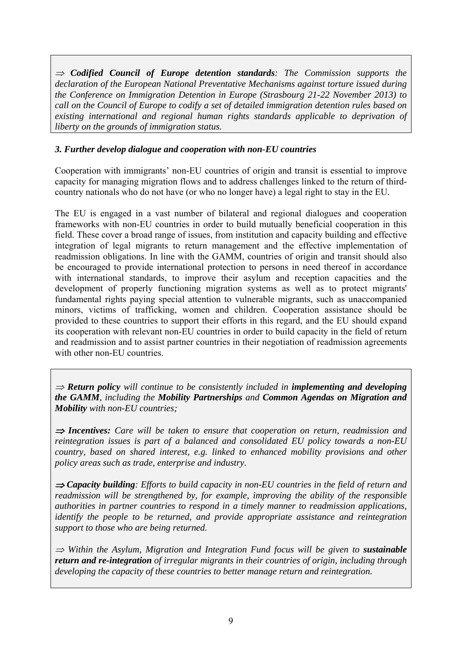<sup>⇒</sup> *Codified Council of Europe detention standards: The Commission supports the declaration of the European National Preventative Mechanisms against torture issued during the Conference on Immigration Detention in Europe (Strasbourg 21-22 November 2013) to call on the Council of Europe to codify a set of detailed immigration detention rules based on existing international and regional human rights standards applicable to deprivation of liberty on the grounds of immigration status.* 

## *3. Further develop dialogue and cooperation with non-EU countries*

Cooperation with immigrants' non-EU countries of origin and transit is essential to improve capacity for managing migration flows and to address challenges linked to the return of thirdcountry nationals who do not have (or who no longer have) a legal right to stay in the EU.

The EU is engaged in a vast number of bilateral and regional dialogues and cooperation frameworks with non-EU countries in order to build mutually beneficial cooperation in this field. These cover a broad range of issues, from institution and capacity building and effective integration of legal migrants to return management and the effective implementation of readmission obligations. In line with the GAMM, countries of origin and transit should also be encouraged to provide international protection to persons in need thereof in accordance with international standards, to improve their asylum and reception capacities and the development of properly functioning migration systems as well as to protect migrants' fundamental rights paying special attention to vulnerable migrants, such as unaccompanied minors, victims of trafficking, women and children. Cooperation assistance should be provided to these countries to support their efforts in this regard, and the EU should expand its cooperation with relevant non-EU countries in order to build capacity in the field of return and readmission and to assist partner countries in their negotiation of readmission agreements with other non-EU countries.

<sup>⇒</sup> *Return policy will continue to be consistently included in implementing and developing the GAMM, including the Mobility Partnerships and Common Agendas on Migration and Mobility with non-EU countries;* 

<sup>⇒</sup> *Incentives: Care will be taken to ensure that cooperation on return, readmission and reintegration issues is part of a balanced and consolidated EU policy towards a non-EU country, based on shared interest, e.g. linked to enhanced mobility provisions and other policy areas such as trade, enterprise and industry.* 

<sup>⇒</sup> *Capacity building: Efforts to build capacity in non-EU countries in the field of return and readmission will be strengthened by, for example, improving the ability of the responsible authorities in partner countries to respond in a timely manner to readmission applications, identify the people to be returned, and provide appropriate assistance and reintegration support to those who are being returned.* 

<sup>⇒</sup> *Within the Asylum, Migration and Integration Fund focus will be given to sustainable return and re-integration of irregular migrants in their countries of origin, including through developing the capacity of these countries to better manage return and reintegration.*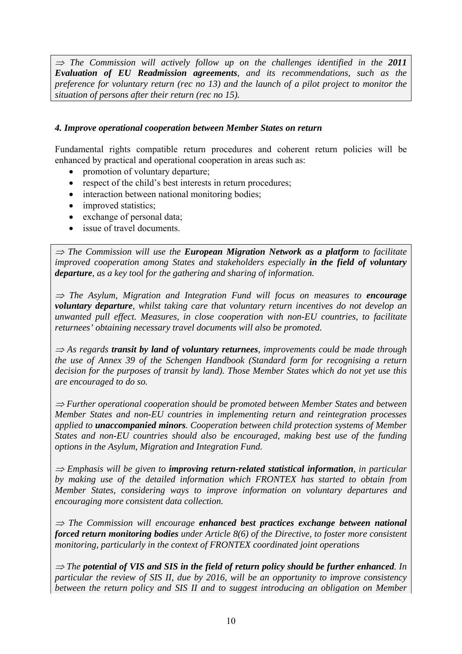<sup>⇒</sup> *The Commission will actively follow up on the challenges identified in the 2011 Evaluation of EU Readmission agreements, and its recommendations, such as the preference for voluntary return (rec no 13) and the launch of a pilot project to monitor the situation of persons after their return (rec no 15).* 

#### *4. Improve operational cooperation between Member States on return*

Fundamental rights compatible return procedures and coherent return policies will be enhanced by practical and operational cooperation in areas such as:

- promotion of voluntary departure;
- respect of the child's best interests in return procedures;
- interaction between national monitoring bodies;
- improved statistics;
- exchange of personal data;
- issue of travel documents

<sup>⇒</sup> *The Commission will use the European Migration Network as a platform to facilitate improved cooperation among States and stakeholders especially in the field of voluntary departure, as a key tool for the gathering and sharing of information.* 

<sup>⇒</sup> *The Asylum, Migration and Integration Fund will focus on measures to encourage voluntary departure, whilst taking care that voluntary return incentives do not develop an unwanted pull effect. Measures, in close cooperation with non-EU countries, to facilitate returnees' obtaining necessary travel documents will also be promoted.* 

<sup>⇒</sup> *As regards transit by land of voluntary returnees, improvements could be made through the use of Annex 39 of the Schengen Handbook (Standard form for recognising a return decision for the purposes of transit by land). Those Member States which do not yet use this are encouraged to do so.* 

<sup>⇒</sup> *Further operational cooperation should be promoted between Member States and between Member States and non-EU countries in implementing return and reintegration processes applied to unaccompanied minors. Cooperation between child protection systems of Member States and non-EU countries should also be encouraged, making best use of the funding options in the Asylum, Migration and Integration Fund.* 

<sup>⇒</sup> *Emphasis will be given to improving return-related statistical information, in particular by making use of the detailed information which FRONTEX has started to obtain from Member States, considering ways to improve information on voluntary departures and encouraging more consistent data collection.* 

<sup>⇒</sup> *The Commission will encourage enhanced best practices exchange between national forced return monitoring bodies under Article 8(6) of the Directive, to foster more consistent monitoring, particularly in the context of FRONTEX coordinated joint operations* 

<sup>⇒</sup> *The potential of VIS and SIS in the field of return policy should be further enhanced. In particular the review of SIS II, due by 2016, will be an opportunity to improve consistency between the return policy and SIS II and to suggest introducing an obligation on Member*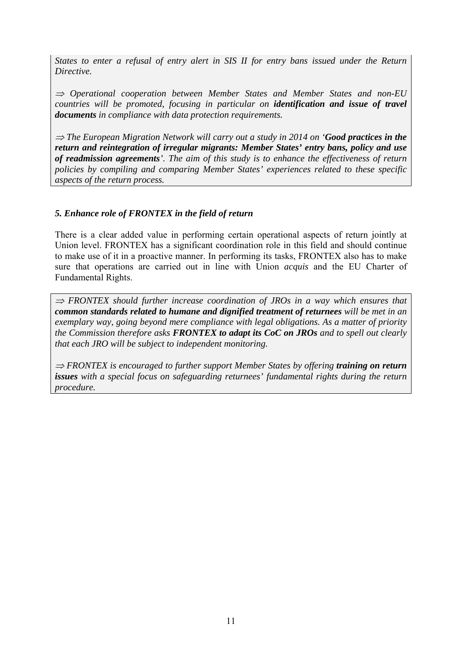*States to enter a refusal of entry alert in SIS II for entry bans issued under the Return Directive.* 

<sup>⇒</sup> *Operational cooperation between Member States and Member States and non-EU countries will be promoted, focusing in particular on identification and issue of travel documents in compliance with data protection requirements.*

<sup>⇒</sup> *The European Migration Network will carry out a study in 2014 on 'Good practices in the return and reintegration of irregular migrants: Member States' entry bans, policy and use of readmission agreements'. The aim of this study is to enhance the effectiveness of return policies by compiling and comparing Member States' experiences related to these specific aspects of the return process.* 

### *5. Enhance role of FRONTEX in the field of return*

There is a clear added value in performing certain operational aspects of return jointly at Union level. FRONTEX has a significant coordination role in this field and should continue to make use of it in a proactive manner. In performing its tasks, FRONTEX also has to make sure that operations are carried out in line with Union *acquis* and the EU Charter of Fundamental Rights.

<sup>⇒</sup> *FRONTEX should further increase coordination of JROs in a way which ensures that common standards related to humane and dignified treatment of returnees will be met in an exemplary way, going beyond mere compliance with legal obligations. As a matter of priority the Commission therefore asks FRONTEX to adapt its CoC on JROs and to spell out clearly that each JRO will be subject to independent monitoring.* 

<sup>⇒</sup> *FRONTEX is encouraged to further support Member States by offering training on return issues with a special focus on safeguarding returnees' fundamental rights during the return procedure.*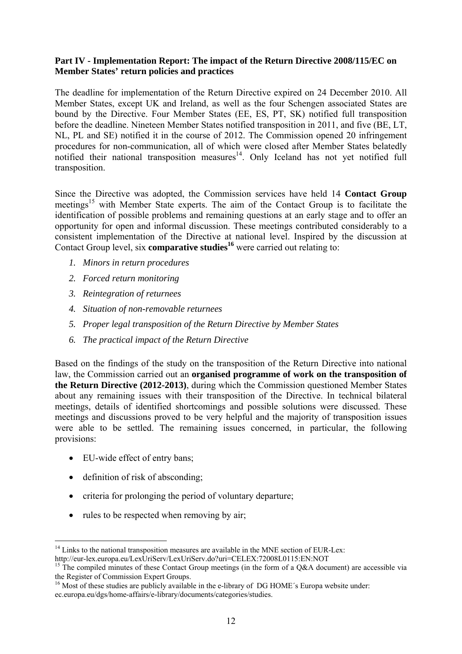### **Part IV - Implementation Report: The impact of the Return Directive 2008/115/EC on Member States' return policies and practices**

The deadline for implementation of the Return Directive expired on 24 December 2010. All Member States, except UK and Ireland, as well as the four Schengen associated States are bound by the Directive. Four Member States (EE, ES, PT, SK) notified full transposition before the deadline. Nineteen Member States notified transposition in 2011, and five (BE, LT, NL, PL and SE) notified it in the course of 2012. The Commission opened 20 infringement procedures for non-communication, all of which were closed after Member States belatedly notified their national transposition measures $14$ . Only Iceland has not yet notified full transposition.

Since the Directive was adopted, the Commission services have held 14 **Contact Group**  meetings<sup>15</sup> with Member State experts. The aim of the Contact Group is to facilitate the identification of possible problems and remaining questions at an early stage and to offer an opportunity for open and informal discussion. These meetings contributed considerably to a consistent implementation of the Directive at national level. Inspired by the discussion at Contact Group level, six **comparative studies<sup>16</sup>** were carried out relating to:

- *1. Minors in return procedures*
- *2. Forced return monitoring*
- *3. Reintegration of returnees*
- *4. Situation of non-removable returnees*
- *5. Proper legal transposition of the Return Directive by Member States*
- *6. The practical impact of the Return Directive*

Based on the findings of the study on the transposition of the Return Directive into national law, the Commission carried out an **organised programme of work on the transposition of the Return Directive (2012-2013)**, during which the Commission questioned Member States about any remaining issues with their transposition of the Directive. In technical bilateral meetings, details of identified shortcomings and possible solutions were discussed. These meetings and discussions proved to be very helpful and the majority of transposition issues were able to be settled. The remaining issues concerned, in particular, the following provisions:

• EU-wide effect of entry bans:

1

- definition of risk of absconding;
- criteria for prolonging the period of voluntary departure;
- rules to be respected when removing by air;

<sup>&</sup>lt;sup>14</sup> Links to the national transposition measures are available in the MNE section of EUR-Lex:<br>http://eur-lex.europa.eu/LexUriServ/LexUriServ.do?uri=CELEX:72008L0115:EN:NOT

<sup>&</sup>lt;sup>15</sup> The compiled minutes of these Contact Group meetings (in the form of a Q&A document) are accessible via the Register of Commission Expert Groups.

 $16$  Most of these studies are publicly available in the e-library of DG HOME's Europa website under: ec.europa.eu/dgs/home-affairs/e-library/documents/categories/studies.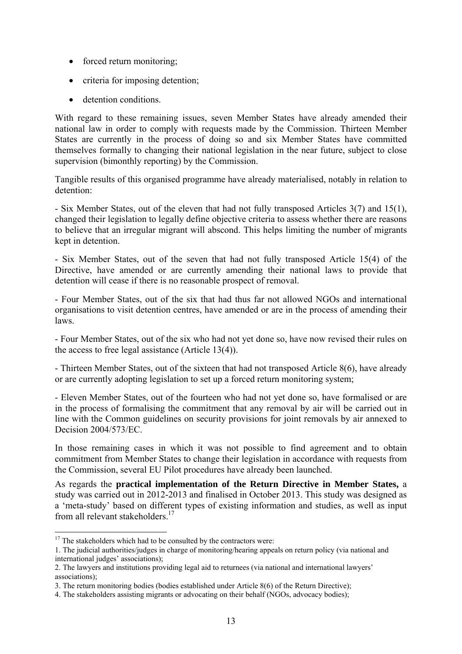- forced return monitoring;
- criteria for imposing detention;
- detention conditions

With regard to these remaining issues, seven Member States have already amended their national law in order to comply with requests made by the Commission. Thirteen Member States are currently in the process of doing so and six Member States have committed themselves formally to changing their national legislation in the near future, subject to close supervision (bimonthly reporting) by the Commission.

Tangible results of this organised programme have already materialised, notably in relation to detention:

- Six Member States, out of the eleven that had not fully transposed Articles 3(7) and 15(1), changed their legislation to legally define objective criteria to assess whether there are reasons to believe that an irregular migrant will abscond. This helps limiting the number of migrants kept in detention.

- Six Member States, out of the seven that had not fully transposed Article 15(4) of the Directive, have amended or are currently amending their national laws to provide that detention will cease if there is no reasonable prospect of removal.

- Four Member States, out of the six that had thus far not allowed NGOs and international organisations to visit detention centres, have amended or are in the process of amending their laws.

- Four Member States, out of the six who had not yet done so, have now revised their rules on the access to free legal assistance (Article 13(4)).

- Thirteen Member States, out of the sixteen that had not transposed Article 8(6), have already or are currently adopting legislation to set up a forced return monitoring system;

- Eleven Member States, out of the fourteen who had not yet done so, have formalised or are in the process of formalising the commitment that any removal by air will be carried out in line with the Common guidelines on security provisions for joint removals by air annexed to Decision 2004/573/EC.

In those remaining cases in which it was not possible to find agreement and to obtain commitment from Member States to change their legislation in accordance with requests from the Commission, several EU Pilot procedures have already been launched.

As regards the **practical implementation of the Return Directive in Member States,** a study was carried out in 2012-2013 and finalised in October 2013. This study was designed as a 'meta-study' based on different types of existing information and studies, as well as input from all relevant stakeholders.<sup>17</sup>

<sup>1</sup>  $17$  The stakeholders which had to be consulted by the contractors were:

<sup>1.</sup> The judicial authorities/judges in charge of monitoring/hearing appeals on return policy (via national and international judges' associations);

<sup>2.</sup> The lawyers and institutions providing legal aid to returnees (via national and international lawyers' associations);

<sup>3.</sup> The return monitoring bodies (bodies established under Article 8(6) of the Return Directive);

<sup>4.</sup> The stakeholders assisting migrants or advocating on their behalf (NGOs, advocacy bodies);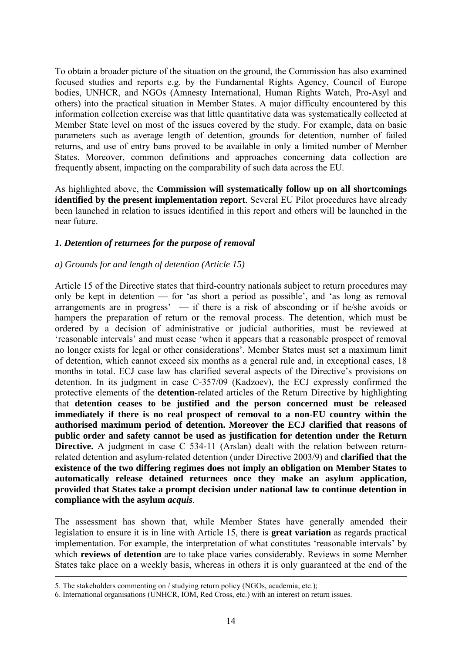To obtain a broader picture of the situation on the ground, the Commission has also examined focused studies and reports e.g. by the Fundamental Rights Agency, Council of Europe bodies, UNHCR, and NGOs (Amnesty International, Human Rights Watch, Pro-Asyl and others) into the practical situation in Member States. A major difficulty encountered by this information collection exercise was that little quantitative data was systematically collected at Member State level on most of the issues covered by the study. For example, data on basic parameters such as average length of detention, grounds for detention, number of failed returns, and use of entry bans proved to be available in only a limited number of Member States. Moreover, common definitions and approaches concerning data collection are frequently absent, impacting on the comparability of such data across the EU.

As highlighted above, the **Commission will systematically follow up on all shortcomings identified by the present implementation report**. Several EU Pilot procedures have already been launched in relation to issues identified in this report and others will be launched in the near future.

#### *1. Detention of returnees for the purpose of removal*

#### *a) Grounds for and length of detention (Article 15)*

Article 15 of the Directive states that third-country nationals subject to return procedures may only be kept in detention — for 'as short a period as possible', and 'as long as removal arrangements are in progress' — if there is a risk of absconding or if he/she avoids or hampers the preparation of return or the removal process. The detention, which must be ordered by a decision of administrative or judicial authorities, must be reviewed at 'reasonable intervals' and must cease 'when it appears that a reasonable prospect of removal no longer exists for legal or other considerations'. Member States must set a maximum limit of detention, which cannot exceed six months as a general rule and, in exceptional cases, 18 months in total. ECJ case law has clarified several aspects of the Directive's provisions on detention. In its judgment in case C-357/09 (Kadzoev), the ECJ expressly confirmed the protective elements of the **detention-**related articles of the Return Directive by highlighting that **detention ceases to be justified and the person concerned must be released immediately if there is no real prospect of removal to a non-EU country within the authorised maximum period of detention. Moreover the ECJ clarified that reasons of public order and safety cannot be used as justification for detention under the Return Directive.** A judgment in case C 534-11 (Arslan) dealt with the relation between returnrelated detention and asylum-related detention (under Directive 2003/9) and **clarified that the existence of the two differing regimes does not imply an obligation on Member States to automatically release detained returnees once they make an asylum application, provided that States take a prompt decision under national law to continue detention in compliance with the asylum** *acquis*.

The assessment has shown that, while Member States have generally amended their legislation to ensure it is in line with Article 15, there is **great variation** as regards practical implementation. For example, the interpretation of what constitutes 'reasonable intervals' by which **reviews of detention** are to take place varies considerably. Reviews in some Member States take place on a weekly basis, whereas in others it is only guaranteed at the end of the

 <sup>5.</sup> The stakeholders commenting on / studying return policy (NGOs, academia, etc.);

<sup>6.</sup> International organisations (UNHCR, IOM, Red Cross, etc.) with an interest on return issues.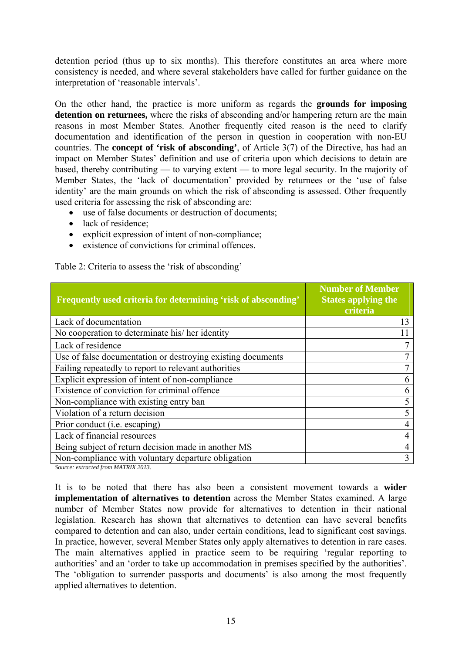detention period (thus up to six months). This therefore constitutes an area where more consistency is needed, and where several stakeholders have called for further guidance on the interpretation of 'reasonable intervals'.

On the other hand, the practice is more uniform as regards the **grounds for imposing detention on returnees,** where the risks of absconding and/or hampering return are the main reasons in most Member States. Another frequently cited reason is the need to clarify documentation and identification of the person in question in cooperation with non-EU countries. The **concept of 'risk of absconding'**, of Article 3(7) of the Directive, has had an impact on Member States' definition and use of criteria upon which decisions to detain are based, thereby contributing — to varying extent — to more legal security. In the majority of Member States, the 'lack of documentation' provided by returnees or the 'use of false identity' are the main grounds on which the risk of absconding is assessed. Other frequently used criteria for assessing the risk of absconding are:

- use of false documents or destruction of documents;
- lack of residence;
- explicit expression of intent of non-compliance;
- existence of convictions for criminal offences.

#### Table 2: Criteria to assess the 'risk of absconding'

| Frequently used criteria for determining 'risk of absconding'                    | <b>Number of Member</b><br><b>States applying the</b><br>criteria |
|----------------------------------------------------------------------------------|-------------------------------------------------------------------|
| Lack of documentation                                                            | 13                                                                |
| No cooperation to determinate his/her identity                                   |                                                                   |
| Lack of residence                                                                |                                                                   |
| Use of false documentation or destroying existing documents                      |                                                                   |
| Failing repeatedly to report to relevant authorities                             |                                                                   |
| Explicit expression of intent of non-compliance                                  |                                                                   |
| Existence of conviction for criminal offence                                     | h                                                                 |
| Non-compliance with existing entry ban                                           |                                                                   |
| Violation of a return decision                                                   |                                                                   |
| Prior conduct ( <i>i.e.</i> escaping)                                            |                                                                   |
| Lack of financial resources                                                      |                                                                   |
| Being subject of return decision made in another MS                              |                                                                   |
| Non-compliance with voluntary departure obligation<br>$16.$ $18.$ $14.777777222$ | 3                                                                 |

*Source: extracted from MATRIX 2013.* 

It is to be noted that there has also been a consistent movement towards a **wider implementation of alternatives to detention** across the Member States examined. A large number of Member States now provide for alternatives to detention in their national legislation. Research has shown that alternatives to detention can have several benefits compared to detention and can also, under certain conditions, lead to significant cost savings. In practice, however, several Member States only apply alternatives to detention in rare cases. The main alternatives applied in practice seem to be requiring 'regular reporting to authorities' and an 'order to take up accommodation in premises specified by the authorities'. The 'obligation to surrender passports and documents' is also among the most frequently applied alternatives to detention.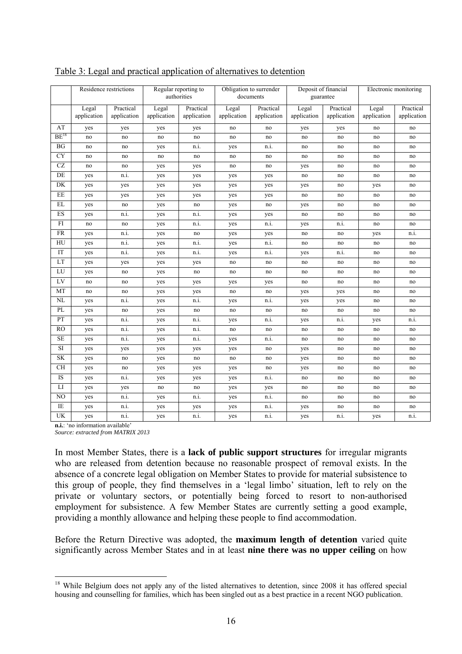|           |                      | Residence restrictions   | Regular reporting to<br>authorities |                          | Obligation to surrender<br>documents |                          | Deposit of financial<br>guarantee |                          | Electronic monitoring |                          |
|-----------|----------------------|--------------------------|-------------------------------------|--------------------------|--------------------------------------|--------------------------|-----------------------------------|--------------------------|-----------------------|--------------------------|
|           | Legal<br>application | Practical<br>application | Legal<br>application                | Practical<br>application | Legal<br>application                 | Practical<br>application | Legal<br>application              | Practical<br>application | Legal<br>application  | Practical<br>application |
| AT        | yes                  | yes                      | yes                                 | yes                      | no                                   | no                       | yes                               | yes                      | no                    | no                       |
| $BE^{18}$ | no                   | no                       | no                                  | no                       | no                                   | no                       | no                                | no                       | no                    | no                       |
| BG        | no                   | no                       | yes                                 | n.i.                     | yes                                  | n.i.                     | no                                | no                       | no                    | no                       |
| CY        | no                   | no                       | no                                  | no                       | no                                   | no                       | no                                | no                       | no                    | no                       |
| CZ        | no                   | no                       | yes                                 | yes                      | no                                   | no                       | yes                               | no                       | no                    | no                       |
| DE        | yes                  | n.i.                     | yes                                 | yes                      | yes                                  | yes                      | no                                | no                       | no                    | no                       |
| DK        | yes                  | yes                      | yes                                 | yes                      | yes                                  | yes                      | yes                               | no                       | yes                   | no                       |
| EE        | yes                  | yes                      | yes                                 | yes                      | yes                                  | yes                      | no                                | no                       | no                    | no                       |
| EL        | yes                  | no                       | yes                                 | no                       | yes                                  | no                       | yes                               | no                       | no                    | no                       |
| ES        | yes                  | n.i.                     | yes                                 | n.i.                     | yes                                  | yes                      | no                                | no                       | no                    | no                       |
| FI        | no                   | no                       | yes                                 | n.i.                     | yes                                  | n.i.                     | yes                               | n.i.                     | no                    | no                       |
| <b>FR</b> | yes                  | n.i.                     | yes                                 | no                       | yes                                  | yes                      | no                                | no                       | yes                   | n.i.                     |
| HU        | yes                  | n.i.                     | yes                                 | n.i.                     | yes                                  | n.i.                     | no                                | no                       | no                    | no                       |
| IT        | yes                  | n.i.                     | yes                                 | n.i.                     | yes                                  | n.i.                     | yes                               | n.1.                     | no                    | no                       |
| LT        | yes                  | yes                      | yes                                 | yes                      | no                                   | no                       | no                                | no                       | no                    | no                       |
| LU        | yes                  | no                       | yes                                 | no                       | no                                   | no                       | no                                | no                       | no                    | no                       |
| LV        | no                   | no                       | yes                                 | yes                      | yes                                  | yes                      | no                                | no                       | no                    | no                       |
| MT        | no                   | no                       | yes                                 | yes                      | no                                   | no                       | yes                               | yes                      | no                    | no                       |
| NL        | yes                  | n.i.                     | yes                                 | n.i.                     | yes                                  | n.i.                     | yes                               | yes                      | no                    | no                       |
| PL        | yes                  | no                       | yes                                 | no                       | no                                   | no                       | no                                | no                       | no                    | no                       |
| PT        | yes                  | n.i.                     | yes                                 | n.i.                     | yes                                  | n.i.                     | yes                               | n.i.                     | yes                   | n.i.                     |
| <b>RO</b> | yes                  | n.i.                     | yes                                 | n.i.                     | no                                   | no                       | no                                | no                       | no                    | no                       |
| $\rm SE$  | yes                  | n.i.                     | yes                                 | n.i.                     | yes                                  | n.i.                     | no                                | no                       | no                    | no                       |
| SI        | yes                  | yes                      | yes                                 | yes                      | yes                                  | no                       | yes                               | no                       | no                    | no                       |
| <b>SK</b> | yes                  | no                       | yes                                 | no                       | no                                   | no                       | yes                               | no                       | no                    | no                       |
| <b>CH</b> | yes                  | no                       | yes                                 | yes                      | yes                                  | no                       | yes                               | no                       | no                    | no                       |
| IS        | yes                  | n.i.                     | yes                                 | yes                      | yes                                  | n.i.                     | no                                | no                       | no                    | no                       |
| LI        | yes                  | yes                      | no                                  | no                       | yes                                  | yes                      | no                                | no                       | no                    | no                       |
| NO        | yes                  | n.i.                     | yes                                 | n.i.                     | yes                                  | n.i.                     | no                                | no                       | no                    | no                       |
| IE        | yes                  | n.i.                     | yes                                 | yes                      | yes                                  | n.i.                     | yes                               | no                       | no                    | no                       |
| <b>UK</b> | yes                  | n.i.                     | yes                                 | n.i.                     | yes                                  | n.i.                     | yes                               | n.i.                     | yes                   | n.i.                     |

#### Table 3: Legal and practical application of alternatives to detention

**n.i.**: 'no information available' *Source: extracted from MATRIX 2013* 

1

In most Member States, there is a **lack of public support structures** for irregular migrants who are released from detention because no reasonable prospect of removal exists. In the absence of a concrete legal obligation on Member States to provide for material subsistence to this group of people, they find themselves in a 'legal limbo' situation, left to rely on the private or voluntary sectors, or potentially being forced to resort to non-authorised employment for subsistence. A few Member States are currently setting a good example, providing a monthly allowance and helping these people to find accommodation.

Before the Return Directive was adopted, the **maximum length of detention** varied quite significantly across Member States and in at least **nine there was no upper ceiling** on how

<sup>&</sup>lt;sup>18</sup> While Belgium does not apply any of the listed alternatives to detention, since 2008 it has offered special housing and counselling for families, which has been singled out as a best practice in a recent NGO publication.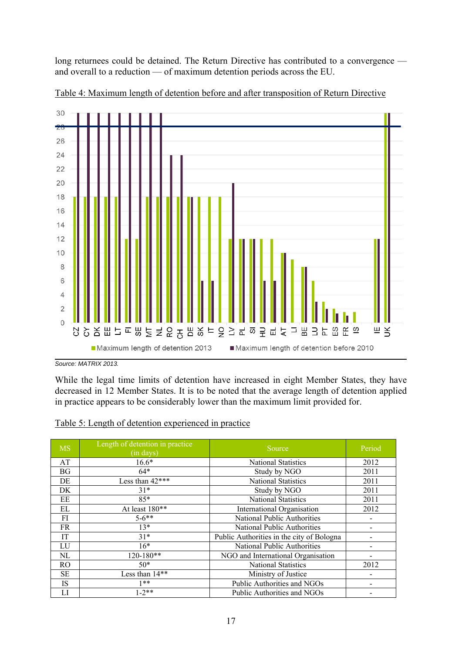long returnees could be detained. The Return Directive has contributed to a convergence and overall to a reduction — of maximum detention periods across the EU.



Table 4: Maximum length of detention before and after transposition of Return Directive

While the legal time limits of detention have increased in eight Member States, they have decreased in 12 Member States. It is to be noted that the average length of detention applied in practice appears to be considerably lower than the maximum limit provided for.

| Table 5: Length of detention experienced in practice |  |  |  |
|------------------------------------------------------|--|--|--|
|                                                      |  |  |  |

| <b>MS</b> | Length of detention in practice<br>(in days) | Source                                    | Period |
|-----------|----------------------------------------------|-------------------------------------------|--------|
| AT        | $16.6*$                                      | <b>National Statistics</b>                | 2012   |
| <b>BG</b> | $64*$                                        | Study by NGO                              | 2011   |
| DE        | Less than $42***$                            | <b>National Statistics</b>                | 2011   |
| DK        | $31*$                                        | Study by NGO                              | 2011   |
| EE        | $85*$                                        | <b>National Statistics</b>                | 2011   |
| EL        | At least 180**                               | International Organisation                | 2012   |
| FI        | $5 - 6$ **                                   | <b>National Public Authorities</b>        |        |
| FR        | $13*$                                        | National Public Authorities               |        |
| IT        | $31*$                                        | Public Authorities in the city of Bologna |        |
| LU        | $16*$                                        | <b>National Public Authorities</b>        |        |
| NL        | $120 - 180**$                                | NGO and International Organisation        |        |
| RO.       | $50*$                                        | <b>National Statistics</b>                | 2012   |
| <b>SE</b> | Less than 14**                               | Ministry of Justice                       |        |
| <b>IS</b> | 1**                                          | Public Authorities and NGOs               |        |
| LI        | $1-2**$                                      | Public Authorities and NGOs               |        |

*Source: MATRIX 2013.*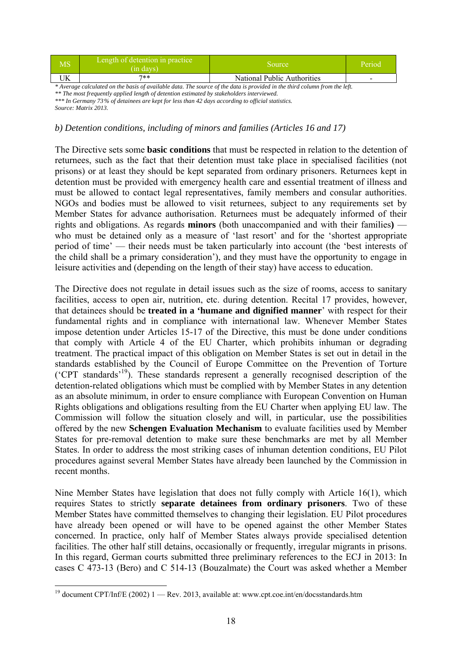| MS | Length of detention in practice<br>(in davs) | Source                      | Period |
|----|----------------------------------------------|-----------------------------|--------|
| ∍ռ | $7**$                                        | National Public Authorities |        |

*\* Average calculated on the basis of available data. The source of the data is provided in the third column from the left. \*\* The most frequently applied length of detention estimated by stakeholders interviewed. \*\*\* In Germany 73% of detainees are kept for less than 42 days according to official statistics. Source: Matrix 2013.* 

#### *b) Detention conditions, including of minors and families (Articles 16 and 17)*

The Directive sets some **basic conditions** that must be respected in relation to the detention of returnees, such as the fact that their detention must take place in specialised facilities (not prisons) or at least they should be kept separated from ordinary prisoners. Returnees kept in detention must be provided with emergency health care and essential treatment of illness and must be allowed to contact legal representatives, family members and consular authorities. NGOs and bodies must be allowed to visit returnees, subject to any requirements set by Member States for advance authorisation. Returnees must be adequately informed of their rights and obligations. As regards **minors** (both unaccompanied and with their families**)**  who must be detained only as a measure of 'last resort' and for the 'shortest appropriate period of time' — their needs must be taken particularly into account (the 'best interests of the child shall be a primary consideration'), and they must have the opportunity to engage in leisure activities and (depending on the length of their stay) have access to education.

The Directive does not regulate in detail issues such as the size of rooms, access to sanitary facilities, access to open air, nutrition, etc. during detention. Recital 17 provides, however, that detainees should be **treated in a 'humane and dignified manner**' with respect for their fundamental rights and in compliance with international law. Whenever Member States impose detention under Articles 15-17 of the Directive, this must be done under conditions that comply with Article 4 of the EU Charter, which prohibits inhuman or degrading treatment. The practical impact of this obligation on Member States is set out in detail in the standards established by the Council of Europe Committee on the Prevention of Torture ('CPT standards'19). These standards represent a generally recognised description of the detention-related obligations which must be complied with by Member States in any detention as an absolute minimum, in order to ensure compliance with European Convention on Human Rights obligations and obligations resulting from the EU Charter when applying EU law. The Commission will follow the situation closely and will, in particular, use the possibilities offered by the new **Schengen Evaluation Mechanism** to evaluate facilities used by Member States for pre-removal detention to make sure these benchmarks are met by all Member States. In order to address the most striking cases of inhuman detention conditions, EU Pilot procedures against several Member States have already been launched by the Commission in recent months.

Nine Member States have legislation that does not fully comply with Article 16(1), which requires States to strictly **separate detainees from ordinary prisoners**. Two of these Member States have committed themselves to changing their legislation. EU Pilot procedures have already been opened or will have to be opened against the other Member States concerned. In practice, only half of Member States always provide specialised detention facilities. The other half still detains, occasionally or frequently, irregular migrants in prisons. In this regard, German courts submitted three preliminary references to the ECJ in 2013: In cases C 473-13 (Bero) and C 514-13 (Bouzalmate) the Court was asked whether a Member

1

<sup>&</sup>lt;sup>19</sup> document CPT/Inf/E (2002) 1 — Rev. 2013, available at: www.cpt.coe.int/en/docsstandards.htm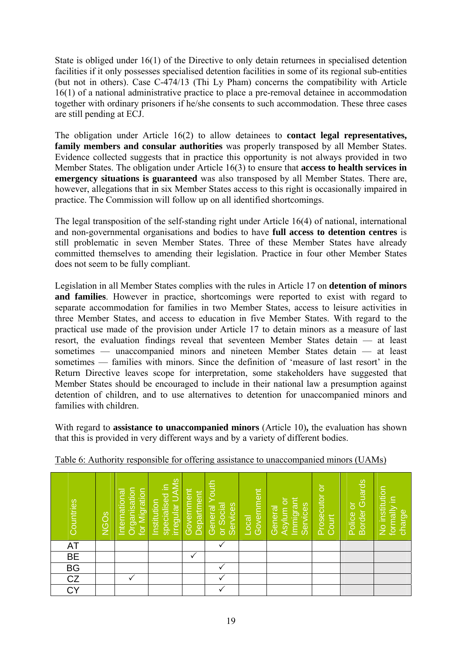State is obliged under 16(1) of the Directive to only detain returnees in specialised detention facilities if it only possesses specialised detention facilities in some of its regional sub-entities (but not in others). Case C-474/13 (Thi Ly Pham) concerns the compatibility with Article 16(1) of a national administrative practice to place a pre-removal detainee in accommodation together with ordinary prisoners if he/she consents to such accommodation. These three cases are still pending at ECJ.

The obligation under Article 16(2) to allow detainees to **contact legal representatives, family members and consular authorities** was properly transposed by all Member States. Evidence collected suggests that in practice this opportunity is not always provided in two Member States. The obligation under Article 16(3) to ensure that **access to health services in emergency situations is guaranteed** was also transposed by all Member States. There are, however, allegations that in six Member States access to this right is occasionally impaired in practice. The Commission will follow up on all identified shortcomings.

The legal transposition of the self-standing right under Article 16(4) of national, international and non-governmental organisations and bodies to have **full access to detention centres** is still problematic in seven Member States. Three of these Member States have already committed themselves to amending their legislation. Practice in four other Member States does not seem to be fully compliant.

Legislation in all Member States complies with the rules in Article 17 on **detention of minors and families**. However in practice, shortcomings were reported to exist with regard to separate accommodation for families in two Member States, access to leisure activities in three Member States, and access to education in five Member States. With regard to the practical use made of the provision under Article 17 to detain minors as a measure of last resort, the evaluation findings reveal that seventeen Member States detain — at least sometimes — unaccompanied minors and nineteen Member States detain — at least sometimes — families with minors. Since the definition of 'measure of last resort' in the Return Directive leaves scope for interpretation, some stakeholders have suggested that Member States should be encouraged to include in their national law a presumption against detention of children, and to use alternatives to detention for unaccompanied minors and families with children.

With regard to **assistance to unaccompanied minors** (Article 10)**,** the evaluation has shown that this is provided in very different ways and by a variety of different bodies.

| Countries                         | <b>NGO<sub>S</sub></b> | Organisation<br>for Migration<br>International | irregular UAMs<br>specialised in<br>Institution | Government<br>Department | Youth<br>or Social<br>Services<br>General | Government<br>$\overline{\text{Local}}$ | mmigrant<br>Asylum or<br>Services<br>General | Prosecutor or<br>Court | Border Guards<br>Police or | No institution<br>formally in<br>charge |
|-----------------------------------|------------------------|------------------------------------------------|-------------------------------------------------|--------------------------|-------------------------------------------|-----------------------------------------|----------------------------------------------|------------------------|----------------------------|-----------------------------------------|
| AT                                |                        |                                                |                                                 |                          |                                           |                                         |                                              |                        |                            |                                         |
|                                   |                        |                                                |                                                 |                          |                                           |                                         |                                              |                        |                            |                                         |
| BE<br>BG<br>CZ                    |                        |                                                |                                                 |                          |                                           |                                         |                                              |                        |                            |                                         |
|                                   |                        |                                                |                                                 |                          |                                           |                                         |                                              |                        |                            |                                         |
| $\overline{\mathsf{c}\mathsf{v}}$ |                        |                                                |                                                 |                          |                                           |                                         |                                              |                        |                            |                                         |

Table 6: Authority responsible for offering assistance to unaccompanied minors (UAMs)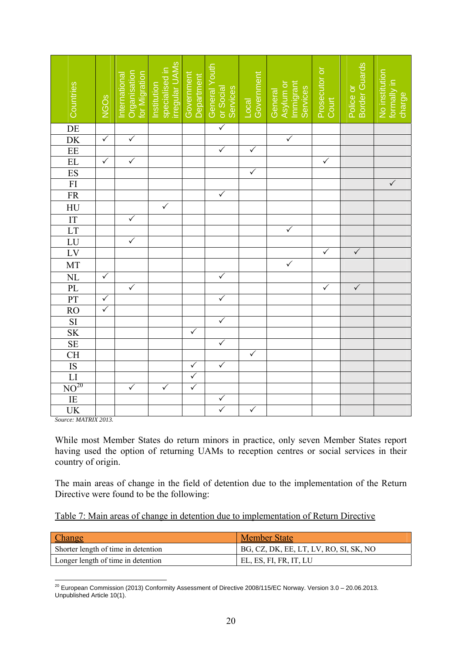| Countries                                                                                                                                                                                                                                                                                     | NGO <sub>S</sub> | Organisation<br>for Migration<br>International | irregular UAMs<br>specialised in<br>Institution | Government<br>Department | General Youth<br>Services<br>or Social | Government<br>Local | <b>Immigrant</b><br>Asylum or<br>Services<br>General | Prosecutor or<br>Court | Border Guards<br>Police or | No institution<br>formally in<br>charge |
|-----------------------------------------------------------------------------------------------------------------------------------------------------------------------------------------------------------------------------------------------------------------------------------------------|------------------|------------------------------------------------|-------------------------------------------------|--------------------------|----------------------------------------|---------------------|------------------------------------------------------|------------------------|----------------------------|-----------------------------------------|
|                                                                                                                                                                                                                                                                                               |                  |                                                |                                                 |                          | $\overline{\checkmark}$                |                     |                                                      |                        |                            |                                         |
| DE<br>DK<br>EE<br>EL<br>ES<br>FI<br>FR                                                                                                                                                                                                                                                        | $\sqrt{}$        | $\sqrt{}$                                      |                                                 |                          |                                        |                     | $\checkmark$                                         |                        |                            |                                         |
|                                                                                                                                                                                                                                                                                               |                  |                                                |                                                 |                          | $\checkmark$                           | $\checkmark$        |                                                      |                        |                            |                                         |
|                                                                                                                                                                                                                                                                                               | $\checkmark$     | $\checkmark$                                   |                                                 |                          |                                        |                     |                                                      | $\checkmark$           |                            |                                         |
|                                                                                                                                                                                                                                                                                               |                  |                                                |                                                 |                          |                                        | $\checkmark$        |                                                      |                        |                            |                                         |
|                                                                                                                                                                                                                                                                                               |                  |                                                |                                                 |                          |                                        |                     |                                                      |                        |                            | $\overline{\checkmark}$                 |
|                                                                                                                                                                                                                                                                                               |                  |                                                |                                                 |                          | $\sqrt{}$                              |                     |                                                      |                        |                            |                                         |
| $\frac{HU}{IT}$ $\frac{IT}{LU}$ $\frac{LU}{LV}$                                                                                                                                                                                                                                               |                  |                                                | $\checkmark$                                    |                          |                                        |                     |                                                      |                        |                            |                                         |
|                                                                                                                                                                                                                                                                                               |                  | $\checkmark$                                   |                                                 |                          |                                        |                     |                                                      |                        |                            |                                         |
|                                                                                                                                                                                                                                                                                               |                  |                                                |                                                 |                          |                                        |                     | $\checkmark$                                         |                        |                            |                                         |
|                                                                                                                                                                                                                                                                                               |                  | $\sqrt{}$                                      |                                                 |                          |                                        |                     |                                                      |                        |                            |                                         |
|                                                                                                                                                                                                                                                                                               |                  |                                                |                                                 |                          |                                        |                     |                                                      | $\sqrt{}$              | $\checkmark$               |                                         |
|                                                                                                                                                                                                                                                                                               |                  |                                                |                                                 |                          |                                        |                     | $\checkmark$                                         |                        |                            |                                         |
| $\frac{\overline{NL}}{\overline{PL}}$                                                                                                                                                                                                                                                         | $\checkmark$     |                                                |                                                 |                          | $\checkmark$                           |                     |                                                      |                        |                            |                                         |
|                                                                                                                                                                                                                                                                                               |                  | $\checkmark$                                   |                                                 |                          |                                        |                     |                                                      | $\checkmark$           | $\checkmark$               |                                         |
|                                                                                                                                                                                                                                                                                               | $\checkmark$     |                                                |                                                 |                          | $\sqrt{}$                              |                     |                                                      |                        |                            |                                         |
|                                                                                                                                                                                                                                                                                               | $\checkmark$     |                                                |                                                 |                          |                                        |                     |                                                      |                        |                            |                                         |
|                                                                                                                                                                                                                                                                                               |                  |                                                |                                                 |                          | $\checkmark$                           |                     |                                                      |                        |                            |                                         |
|                                                                                                                                                                                                                                                                                               |                  |                                                |                                                 | $\sqrt{}$                |                                        |                     |                                                      |                        |                            |                                         |
|                                                                                                                                                                                                                                                                                               |                  |                                                |                                                 |                          | $\checkmark$                           |                     |                                                      |                        |                            |                                         |
|                                                                                                                                                                                                                                                                                               |                  |                                                |                                                 |                          |                                        | $\checkmark$        |                                                      |                        |                            |                                         |
| $\begin{array}{c} \begin{array}{c} \text{PT} \\ \text{RO} \end{array} \\ \begin{array}{c} \text{SI} \\ \text{SK} \end{array} \\ \begin{array}{c} \text{SE} \\ \text{CH} \\ \text{IS} \end{array} \\ \begin{array}{c} \text{LI} \\ \text{NO}^{\text{20}} \\ \text{IE} \end{array} \end{array}$ |                  |                                                |                                                 | $\checkmark$             | $\checkmark$                           |                     |                                                      |                        |                            |                                         |
|                                                                                                                                                                                                                                                                                               |                  |                                                |                                                 | $\sqrt{}$                |                                        |                     |                                                      |                        |                            |                                         |
|                                                                                                                                                                                                                                                                                               |                  | $\checkmark$                                   | $\checkmark$                                    | $\checkmark$             |                                        |                     |                                                      |                        |                            |                                         |
|                                                                                                                                                                                                                                                                                               |                  |                                                |                                                 |                          | $\checkmark$                           |                     |                                                      |                        |                            |                                         |
| UK                                                                                                                                                                                                                                                                                            |                  |                                                |                                                 |                          | $\checkmark$                           | $\checkmark$        |                                                      |                        |                            |                                         |

*Source: MATRIX 2013.* 

While most Member States do return minors in practice, only seven Member States report having used the option of returning UAMs to reception centres or social services in their country of origin.

The main areas of change in the field of detention due to the implementation of the Return Directive were found to be the following:

|  | Table 7: Main areas of change in detention due to implementation of Return Directive |
|--|--------------------------------------------------------------------------------------|
|  |                                                                                      |

| Change                              | <b>Member State</b>                    |
|-------------------------------------|----------------------------------------|
| Shorter length of time in detention | BG, CZ, DK, EE, LT, LV, RO, SI, SK, NO |
| Longer length of time in detention  | EL, ES, FI, FR, IT, LU                 |

1  $^{20}$  European Commission (2013) Conformity Assessment of Directive 2008/115/EC Norway. Version 3.0 – 20.06.2013. Unpublished Article 10(1).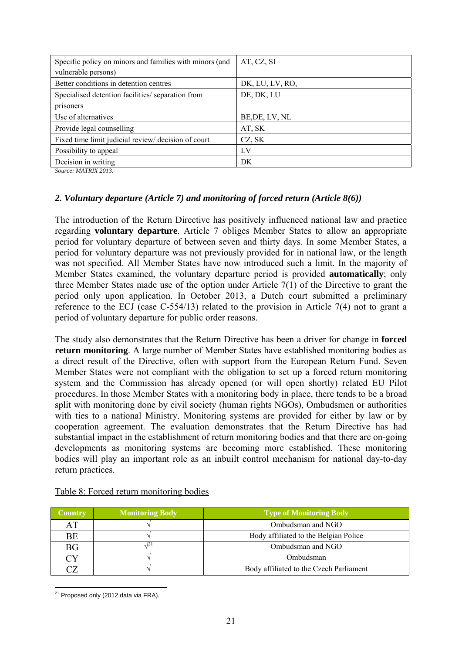| Specific policy on minors and families with minors (and | AT, CZ, SI      |
|---------------------------------------------------------|-----------------|
| vulnerable persons)                                     |                 |
| Better conditions in detention centres                  | DK, LU, LV, RO, |
| Specialised detention facilities/ separation from       | DE, DK, LU      |
| prisoners                                               |                 |
| Use of alternatives                                     | BE, DE, LV, NL  |
| Provide legal counselling                               | AT, SK          |
| Fixed time limit judicial review/ decision of court     | CZ, SK          |
| Possibility to appeal                                   | LV              |
| Decision in writing                                     | DK              |

*Source: MATRIX 2013.* 

### *2. Voluntary departure (Article 7) and monitoring of forced return (Article 8(6))*

The introduction of the Return Directive has positively influenced national law and practice regarding **voluntary departure**. Article 7 obliges Member States to allow an appropriate period for voluntary departure of between seven and thirty days. In some Member States, a period for voluntary departure was not previously provided for in national law, or the length was not specified. All Member States have now introduced such a limit. In the majority of Member States examined, the voluntary departure period is provided **automatically**; only three Member States made use of the option under Article 7(1) of the Directive to grant the period only upon application. In October 2013, a Dutch court submitted a preliminary reference to the ECJ (case C-554/13) related to the provision in Article 7(4) not to grant a period of voluntary departure for public order reasons.

The study also demonstrates that the Return Directive has been a driver for change in **forced return monitoring**. A large number of Member States have established monitoring bodies as a direct result of the Directive, often with support from the European Return Fund. Seven Member States were not compliant with the obligation to set up a forced return monitoring system and the Commission has already opened (or will open shortly) related EU Pilot procedures. In those Member States with a monitoring body in place, there tends to be a broad split with monitoring done by civil society (human rights NGOs), Ombudsmen or authorities with ties to a national Ministry. Monitoring systems are provided for either by law or by cooperation agreement. The evaluation demonstrates that the Return Directive has had substantial impact in the establishment of return monitoring bodies and that there are on-going developments as monitoring systems are becoming more established. These monitoring bodies will play an important role as an inbuilt control mechanism for national day-to-day return practices.

| <b>Country</b> | <b>Monitoring Body</b> | <b>Type of Monitoring Body</b>          |
|----------------|------------------------|-----------------------------------------|
| AT             |                        | Ombudsman and NGO                       |
| <b>BE</b>      |                        | Body affiliated to the Belgian Police   |
| <b>BG</b>      |                        | Ombudsman and NGO                       |
| CΥ             |                        | Ombudsman                               |
|                |                        | Body affiliated to the Czech Parliament |

| Table 8: Forced return monitoring bodies |  |  |  |  |
|------------------------------------------|--|--|--|--|
|------------------------------------------|--|--|--|--|

<sup>&</sup>lt;u>.</u>  $21$  Proposed only (2012 data via FRA).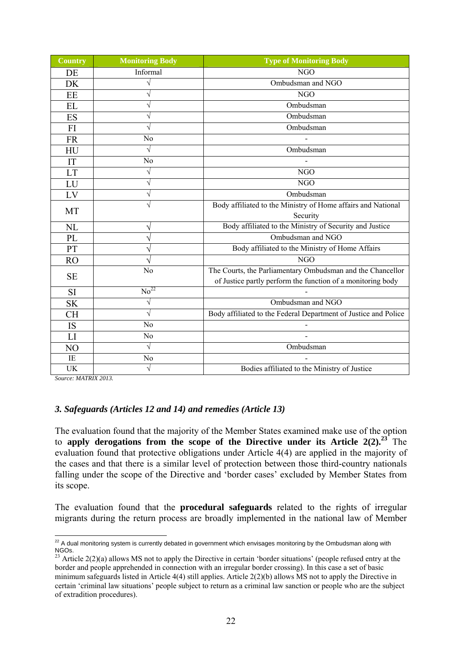| <b>Country</b> | <b>Monitoring Body</b> | <b>Type of Monitoring Body</b>                                  |  |
|----------------|------------------------|-----------------------------------------------------------------|--|
| DE             | Informal               | <b>NGO</b>                                                      |  |
| DK             | $\sqrt{}$              | Ombudsman and NGO                                               |  |
| EE             | V                      | <b>NGO</b>                                                      |  |
| EL             | $\sqrt{}$              | Ombudsman                                                       |  |
| ES             | $\sqrt{}$              | Ombudsman                                                       |  |
| FI             | V                      | Ombudsman                                                       |  |
| <b>FR</b>      | No                     |                                                                 |  |
| HU             | $\sqrt{}$              | Ombudsman                                                       |  |
| IT             | N <sub>0</sub>         |                                                                 |  |
| LT             | $\sqrt{}$              | N <sub>G</sub> O                                                |  |
| LU             | $\sqrt{}$              | <b>NGO</b>                                                      |  |
| ${\rm LV}$     | $\sqrt{}$              | Ombudsman                                                       |  |
|                | $\sqrt{}$              | Body affiliated to the Ministry of Home affairs and National    |  |
| MT             |                        | Security                                                        |  |
| <b>NL</b>      | V                      | Body affiliated to the Ministry of Security and Justice         |  |
| PL             | V                      | Ombudsman and NGO                                               |  |
| PT             |                        | Body affiliated to the Ministry of Home Affairs                 |  |
| <b>RO</b>      | N                      | <b>NGO</b>                                                      |  |
|                | No                     | The Courts, the Parliamentary Ombudsman and the Chancellor      |  |
| <b>SE</b>      |                        | of Justice partly perform the function of a monitoring body     |  |
| <b>SI</b>      | No <sup>22</sup>       |                                                                 |  |
| <b>SK</b>      | $\sqrt{}$              | Ombudsman and NGO                                               |  |
| <b>CH</b>      | $\sqrt{}$              | Body affiliated to the Federal Department of Justice and Police |  |
| IS             | N <sub>o</sub>         |                                                                 |  |
| LI             | N <sub>0</sub>         | $\overline{a}$                                                  |  |
| NO             | $\sqrt{}$              | Ombudsman                                                       |  |
| IE             | N <sub>o</sub>         |                                                                 |  |
| UK             | $\sqrt{}$              | Bodies affiliated to the Ministry of Justice                    |  |

*Source: MATRIX 2013.* 

### *3. Safeguards (Articles 12 and 14) and remedies (Article 13)*

The evaluation found that the majority of the Member States examined make use of the option to **apply derogations from the scope of the Directive under its Article 2(2).<sup>23</sup>** The evaluation found that protective obligations under Article 4(4) are applied in the majority of the cases and that there is a similar level of protection between those third-country nationals falling under the scope of the Directive and 'border cases' excluded by Member States from its scope.

The evaluation found that the **procedural safeguards** related to the rights of irregular migrants during the return process are broadly implemented in the national law of Member

<sup>&</sup>lt;u>.</u>  $22$  A dual monitoring system is currently debated in government which envisages monitoring by the Ombudsman along with NGOs.

<sup>&</sup>lt;sup>23</sup> Article 2(2)(a) allows MS not to apply the Directive in certain 'border situations' (people refused entry at the border and people apprehended in connection with an irregular border crossing). In this case a set of basic minimum safeguards listed in Article 4(4) still applies. Article 2(2)(b) allows MS not to apply the Directive in certain 'criminal law situations' people subject to return as a criminal law sanction or people who are the subject of extradition procedures).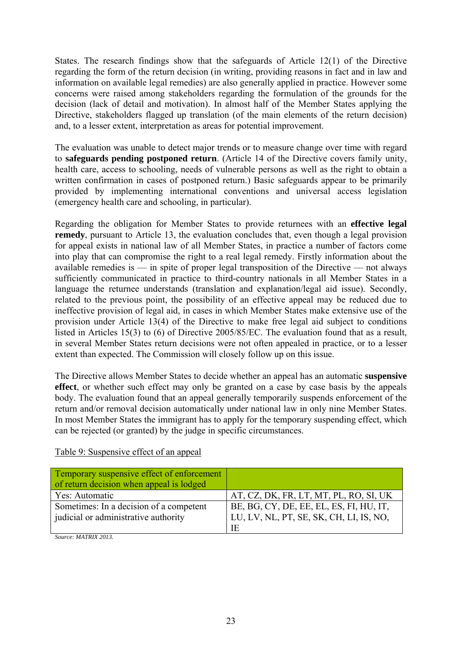States. The research findings show that the safeguards of Article 12(1) of the Directive regarding the form of the return decision (in writing, providing reasons in fact and in law and information on available legal remedies) are also generally applied in practice. However some concerns were raised among stakeholders regarding the formulation of the grounds for the decision (lack of detail and motivation). In almost half of the Member States applying the Directive, stakeholders flagged up translation (of the main elements of the return decision) and, to a lesser extent, interpretation as areas for potential improvement.

The evaluation was unable to detect major trends or to measure change over time with regard to **safeguards pending postponed return**. (Article 14 of the Directive covers family unity, health care, access to schooling, needs of vulnerable persons as well as the right to obtain a written confirmation in cases of postponed return.) Basic safeguards appear to be primarily provided by implementing international conventions and universal access legislation (emergency health care and schooling, in particular).

Regarding the obligation for Member States to provide returnees with an **effective legal remedy**, pursuant to Article 13, the evaluation concludes that, even though a legal provision for appeal exists in national law of all Member States, in practice a number of factors come into play that can compromise the right to a real legal remedy. Firstly information about the available remedies is — in spite of proper legal transposition of the Directive — not always sufficiently communicated in practice to third-country nationals in all Member States in a language the returnee understands (translation and explanation/legal aid issue). Secondly, related to the previous point, the possibility of an effective appeal may be reduced due to ineffective provision of legal aid, in cases in which Member States make extensive use of the provision under Article 13(4) of the Directive to make free legal aid subject to conditions listed in Articles 15(3) to (6) of Directive 2005/85/EC. The evaluation found that as a result, in several Member States return decisions were not often appealed in practice, or to a lesser extent than expected. The Commission will closely follow up on this issue.

The Directive allows Member States to decide whether an appeal has an automatic **suspensive effect**, or whether such effect may only be granted on a case by case basis by the appeals body. The evaluation found that an appeal generally temporarily suspends enforcement of the return and/or removal decision automatically under national law in only nine Member States. In most Member States the immigrant has to apply for the temporary suspending effect, which can be rejected (or granted) by the judge in specific circumstances.

| Temporary suspensive effect of enforcement<br>of return decision when appeal is lodged |                                         |
|----------------------------------------------------------------------------------------|-----------------------------------------|
| Yes: Automatic                                                                         | AT, CZ, DK, FR, LT, MT, PL, RO, SI, UK  |
| Sometimes: In a decision of a competent                                                | BE, BG, CY, DE, EE, EL, ES, FI, HU, IT, |
| judicial or administrative authority                                                   | LU, LV, NL, PT, SE, SK, CH, LI, IS, NO, |
|                                                                                        | IE                                      |

### Table 9: Suspensive effect of an appeal

*Source: MATRIX 2013.*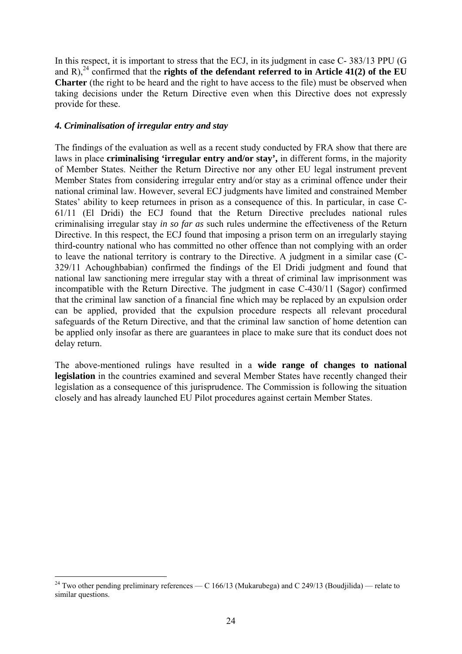In this respect, it is important to stress that the ECJ, in its judgment in case C- 383/13 PPU (G and R),<sup>24</sup> confirmed that the **rights of the defendant referred to in Article 41(2) of the EU Charter** (the right to be heard and the right to have access to the file) must be observed when taking decisions under the Return Directive even when this Directive does not expressly provide for these.

### *4. Criminalisation of irregular entry and stay*

The findings of the evaluation as well as a recent study conducted by FRA show that there are laws in place **criminalising 'irregular entry and/or stay',** in different forms, in the majority of Member States. Neither the Return Directive nor any other EU legal instrument prevent Member States from considering irregular entry and/or stay as a criminal offence under their national criminal law. However, several ECJ judgments have limited and constrained Member States' ability to keep returnees in prison as a consequence of this. In particular, in case C-61/11 (El Dridi) the ECJ found that the Return Directive precludes national rules criminalising irregular stay *in so far as* such rules undermine the effectiveness of the Return Directive. In this respect, the ECJ found that imposing a prison term on an irregularly staying third-country national who has committed no other offence than not complying with an order to leave the national territory is contrary to the Directive. A judgment in a similar case (C-329/11 Achoughbabian) confirmed the findings of the El Dridi judgment and found that national law sanctioning mere irregular stay with a threat of criminal law imprisonment was incompatible with the Return Directive. The judgment in case C-430/11 (Sagor) confirmed that the criminal law sanction of a financial fine which may be replaced by an expulsion order can be applied, provided that the expulsion procedure respects all relevant procedural safeguards of the Return Directive, and that the criminal law sanction of home detention can be applied only insofar as there are guarantees in place to make sure that its conduct does not delay return.

The above-mentioned rulings have resulted in a **wide range of changes to national legislation** in the countries examined and several Member States have recently changed their legislation as a consequence of this jurisprudence. The Commission is following the situation closely and has already launched EU Pilot procedures against certain Member States.

<sup>1</sup> <sup>24</sup> Two other pending preliminary references — C 166/13 (Mukarubega) and C 249/13 (Boudjilida) — relate to similar questions.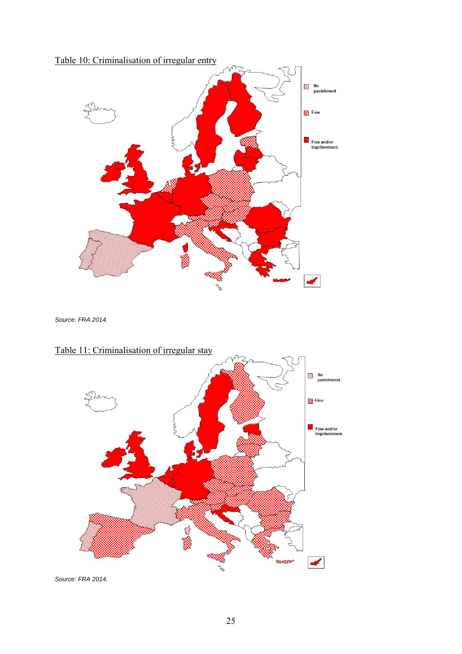

*Source: FRA 2014.* 



# Table 11: Criminalisation of irregular stay

*Source: FRA 2014.*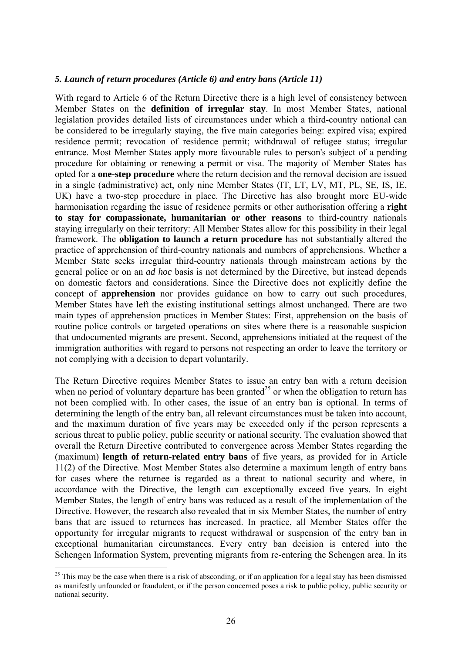#### *5. Launch of return procedures (Article 6) and entry bans (Article 11)*

With regard to Article 6 of the Return Directive there is a high level of consistency between Member States on the **definition of irregular stay**. In most Member States, national legislation provides detailed lists of circumstances under which a third-country national can be considered to be irregularly staying, the five main categories being: expired visa; expired residence permit; revocation of residence permit; withdrawal of refugee status; irregular entrance. Most Member States apply more favourable rules to person's subject of a pending procedure for obtaining or renewing a permit or visa. The majority of Member States has opted for a **one-step procedure** where the return decision and the removal decision are issued in a single (administrative) act, only nine Member States (IT, LT, LV, MT, PL, SE, IS, IE, UK) have a two-step procedure in place. The Directive has also brought more EU-wide harmonisation regarding the issue of residence permits or other authorisation offering a **right to stay for compassionate, humanitarian or other reasons** to third-country nationals staying irregularly on their territory: All Member States allow for this possibility in their legal framework. The **obligation to launch a return procedure** has not substantially altered the practice of apprehension of third-country nationals and numbers of apprehensions. Whether a Member State seeks irregular third-country nationals through mainstream actions by the general police or on an *ad hoc* basis is not determined by the Directive, but instead depends on domestic factors and considerations. Since the Directive does not explicitly define the concept of **apprehension** nor provides guidance on how to carry out such procedures, Member States have left the existing institutional settings almost unchanged. There are two main types of apprehension practices in Member States: First, apprehension on the basis of routine police controls or targeted operations on sites where there is a reasonable suspicion that undocumented migrants are present. Second, apprehensions initiated at the request of the immigration authorities with regard to persons not respecting an order to leave the territory or not complying with a decision to depart voluntarily.

The Return Directive requires Member States to issue an entry ban with a return decision when no period of voluntary departure has been granted<sup>25</sup> or when the obligation to return has not been complied with. In other cases, the issue of an entry ban is optional. In terms of determining the length of the entry ban, all relevant circumstances must be taken into account, and the maximum duration of five years may be exceeded only if the person represents a serious threat to public policy, public security or national security. The evaluation showed that overall the Return Directive contributed to convergence across Member States regarding the (maximum) **length of return-related entry bans** of five years, as provided for in Article 11(2) of the Directive. Most Member States also determine a maximum length of entry bans for cases where the returnee is regarded as a threat to national security and where, in accordance with the Directive, the length can exceptionally exceed five years. In eight Member States, the length of entry bans was reduced as a result of the implementation of the Directive. However, the research also revealed that in six Member States, the number of entry bans that are issued to returnees has increased. In practice, all Member States offer the opportunity for irregular migrants to request withdrawal or suspension of the entry ban in exceptional humanitarian circumstances. Every entry ban decision is entered into the Schengen Information System, preventing migrants from re-entering the Schengen area. In its

1

<sup>&</sup>lt;sup>25</sup> This may be the case when there is a risk of absconding, or if an application for a legal stay has been dismissed as manifestly unfounded or fraudulent, or if the person concerned poses a risk to public policy, public security or national security.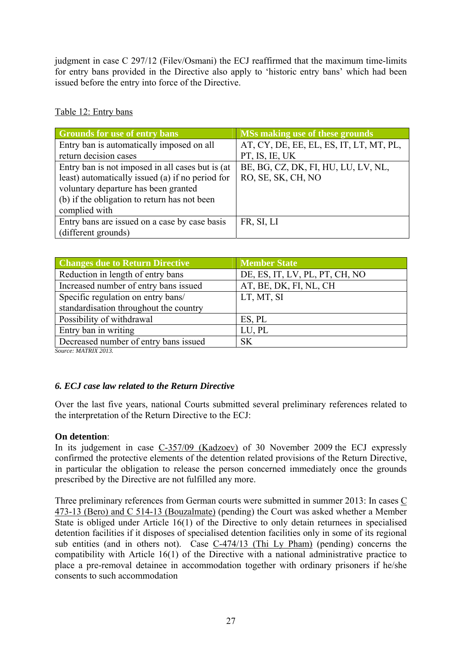judgment in case C 297/12 (Filev/Osmani) the ECJ reaffirmed that the maximum time-limits for entry bans provided in the Directive also apply to 'historic entry bans' which had been issued before the entry into force of the Directive.

| Table 12: Entry bans |  |  |
|----------------------|--|--|
|                      |  |  |

| <b>Grounds for use of entry bans</b>             | <b>MSs making use of these grounds</b>  |
|--------------------------------------------------|-----------------------------------------|
| Entry ban is automatically imposed on all        | AT, CY, DE, EE, EL, ES, IT, LT, MT, PL, |
| return decision cases                            | PT, IS, IE, UK                          |
| Entry ban is not imposed in all cases but is (at | BE, BG, CZ, DK, FI, HU, LU, LV, NL,     |
| least) automatically issued (a) if no period for | RO, SE, SK, CH, NO                      |
| voluntary departure has been granted             |                                         |
| (b) if the obligation to return has not been     |                                         |
| complied with                                    |                                         |
| Entry bans are issued on a case by case basis    | FR, SI, LI                              |
| (different grounds)                              |                                         |

| <b>Changes due to Return Directive</b> | <b>Member State</b>            |
|----------------------------------------|--------------------------------|
| Reduction in length of entry bans      | DE, ES, IT, LV, PL, PT, CH, NO |
| Increased number of entry bans issued  | AT, BE, DK, FI, NL, CH         |
| Specific regulation on entry bans/     | LT, MT, SI                     |
| standardisation throughout the country |                                |
| Possibility of withdrawal              | ES, PL                         |
| Entry ban in writing                   | LU, PL                         |
| Decreased number of entry bans issued  | <b>SK</b>                      |

*Source: MATRIX 2013.* 

## *6. ECJ case law related to the Return Directive*

Over the last five years, national Courts submitted several preliminary references related to the interpretation of the Return Directive to the ECJ:

### **On detention**:

In its judgement in case C-357/09 (Kadzoev) of 30 November 2009 the ECJ expressly confirmed the protective elements of the detention related provisions of the Return Directive, in particular the obligation to release the person concerned immediately once the grounds prescribed by the Directive are not fulfilled any more.

Three preliminary references from German courts were submitted in summer 2013: In cases C 473-13 (Bero) and C 514-13 (Bouzalmate) (pending) the Court was asked whether a Member State is obliged under Article 16(1) of the Directive to only detain returnees in specialised detention facilities if it disposes of specialised detention facilities only in some of its regional sub entities (and in others not). Case C-474/13 (Thi Ly Pham) (pending) concerns the compatibility with Article  $16(1)$  of the Directive with a national administrative practice to place a pre-removal detainee in accommodation together with ordinary prisoners if he/she consents to such accommodation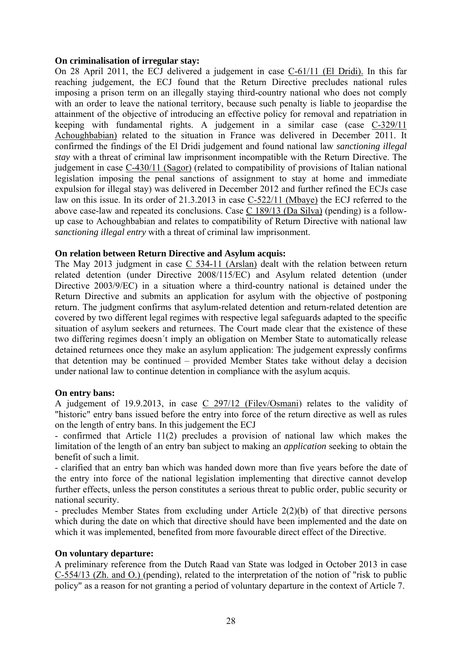#### **On criminalisation of irregular stay:**

On 28 April 2011, the ECJ delivered a judgement in case C-61/11 (El Dridi). In this far reaching judgement, the ECJ found that the Return Directive precludes national rules imposing a prison term on an illegally staying third-country national who does not comply with an order to leave the national territory, because such penalty is liable to jeopardise the attainment of the objective of introducing an effective policy for removal and repatriation in keeping with fundamental rights. A judgement in a similar case (case C-329/11 Achoughbabian) related to the situation in France was delivered in December 2011. It confirmed the findings of the El Dridi judgement and found national law *sanctioning illegal stay* with a threat of criminal law imprisonment incompatible with the Return Directive. The judgement in case C-430/11 (Sagor) (related to compatibility of provisions of Italian national legislation imposing the penal sanctions of assignment to stay at home and immediate expulsion for illegal stay) was delivered in December 2012 and further refined the ECJs case law on this issue. In its order of 21.3.2013 in case C-522/11 (Mbaye) the ECJ referred to the above case-law and repeated its conclusions. Case C 189/13 (Da Silva) (pending) is a followup case to Achoughbabian and relates to compatibility of Return Directive with national law *sanctioning illegal entry* with a threat of criminal law imprisonment.

#### **On relation between Return Directive and Asylum acquis:**

The May 2013 judgment in case  $C$  534-11 (Arslan) dealt with the relation between return related detention (under Directive 2008/115/EC) and Asylum related detention (under Directive 2003/9/EC) in a situation where a third-country national is detained under the Return Directive and submits an application for asylum with the objective of postponing return. The judgment confirms that asylum-related detention and return-related detention are covered by two different legal regimes with respective legal safeguards adapted to the specific situation of asylum seekers and returnees. The Court made clear that the existence of these two differing regimes doesn´t imply an obligation on Member State to automatically release detained returnees once they make an asylum application: The judgement expressly confirms that detention may be continued – provided Member States take without delay a decision under national law to continue detention in compliance with the asylum acquis.

### **On entry bans:**

A judgement of 19.9.2013, in case C 297/12 (Filev/Osmani) relates to the validity of "historic" entry bans issued before the entry into force of the return directive as well as rules on the length of entry bans. In this judgement the ECJ

- confirmed that Article 11(2) precludes a provision of national law which makes the limitation of the length of an entry ban subject to making an *application* seeking to obtain the benefit of such a limit.

- clarified that an entry ban which was handed down more than five years before the date of the entry into force of the national legislation implementing that directive cannot develop further effects, unless the person constitutes a serious threat to public order, public security or national security.

- precludes Member States from excluding under Article 2(2)(b) of that directive persons which during the date on which that directive should have been implemented and the date on which it was implemented, benefited from more favourable direct effect of the Directive.

#### **On voluntary departure:**

A preliminary reference from the Dutch Raad van State was lodged in October 2013 in case C-554/13 (Zh. and O.) (pending), related to the interpretation of the notion of "risk to public policy" as a reason for not granting a period of voluntary departure in the context of Article 7.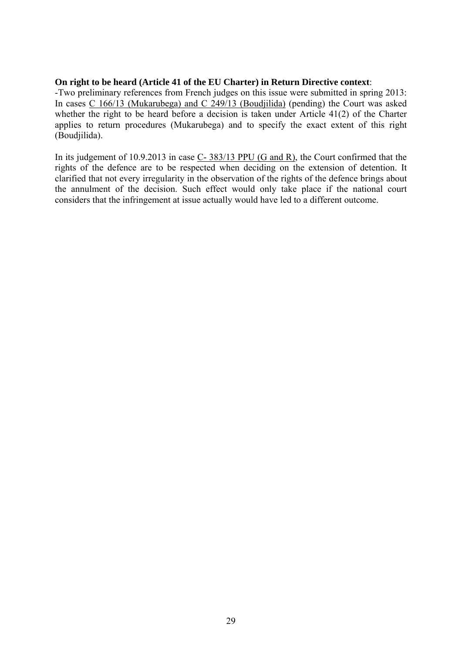#### **On right to be heard (Article 41 of the EU Charter) in Return Directive context**:

-Two preliminary references from French judges on this issue were submitted in spring 2013: In cases C 166/13 (Mukarubega) and C 249/13 (Boudjilida) (pending) the Court was asked whether the right to be heard before a decision is taken under Article  $41(2)$  of the Charter applies to return procedures (Mukarubega) and to specify the exact extent of this right (Boudjilida).

In its judgement of 10.9.2013 in case C- 383/13 PPU (G and R), the Court confirmed that the rights of the defence are to be respected when deciding on the extension of detention. It clarified that not every irregularity in the observation of the rights of the defence brings about the annulment of the decision. Such effect would only take place if the national court considers that the infringement at issue actually would have led to a different outcome.